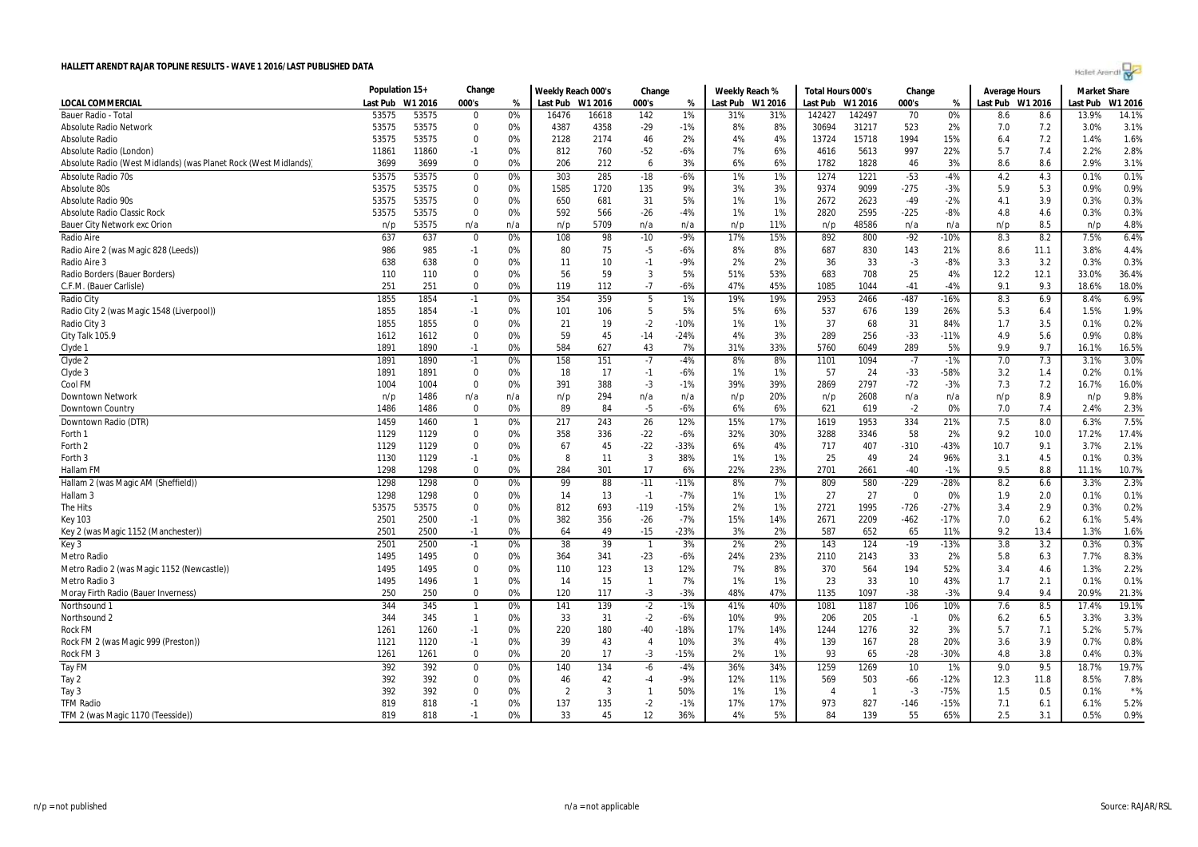| Holet Arendi |  |
|--------------|--|

|                                                                 | Population 15+   |       | Change             |          | Weekly Reach 000's |                | Change         |           | Weekly Reach % |         | Total Hours 000's       |              | Change                  |              | <b>Average Hours</b> |      | <b>Market Share</b> |               |
|-----------------------------------------------------------------|------------------|-------|--------------------|----------|--------------------|----------------|----------------|-----------|----------------|---------|-------------------------|--------------|-------------------------|--------------|----------------------|------|---------------------|---------------|
| LOCAL COMMERCIAL                                                | Last Pub W1 2016 |       | 000's              | %        | Last Pub W1 2016   |                | 000's          | %         | Last Pub       | W1 2016 | Last Pub                | W1 2016      | 000's                   | %            | Last Pub W1 2016     |      | Last Pub            | W1 2016       |
| Bauer Radio - Tota                                              | 53575            | 53575 | $\Omega$           | 0%       | 16476              | 16618          | 142            | 1%        | 31%            | 31%     | 142427                  | 142497       | 70                      | 0%           | 8.6                  | 8.6  | 13.9%               | 14.1%         |
| <b>Absolute Radio Network</b>                                   | 53575            | 53575 | 0                  | 0%       | 4387               | 4358           | $-29$          | $-1%$     | 8%             | 8%      | 30694                   | 31217        | 523                     | 2%           | 7.0                  | 7.2  | 3.0%                | 3.1%          |
| <b>Absolute Radio</b>                                           | 53575            | 53575 | $\mathbf 0$        | 0%       | 2128               | 2174           | 46             | 2%        | 4%             | 4%      | 13724                   | 15718        | 1994                    | 15%          | 6.4                  | 7.2  | 1.4%                | 1.6%          |
| Absolute Radio (London)                                         | 11861            | 11860 | $-1$               | 0%       | 812                | 760            | $-52$          | $-6%$     | 7%             | 6%      | 4616                    | 5613         | 997                     | 22%          | 5.7                  | 7.4  | 2.2%                | 2.8%          |
| Absolute Radio (West Midlands) (was Planet Rock (West Midlands) | 3699             | 3699  | $\Omega$           | 0%       | 206                | 212            | 6              | 3%        | 6%             | 6%      | 1782                    | 1828         | 46                      | 3%           | 8.6                  | 8.6  | 2.9%                | 3.1%          |
| Absolute Radio 70s                                              | 53575            | 53575 | $\boldsymbol{0}$   | 0%       | 303                | 285            | $-18$          | $-6%$     | 1%             | 1%      | 1274                    | 1221         | $-53$                   | -4%          | 4.2                  | 4.3  | 0.1%                | 0.1%          |
| Absolute 80s                                                    | 53575            | 53575 | $\Omega$           | 0%       | 1585               | 1720           | 135            | 9%        | 3%             | 3%      | 9374                    | 9099         | -275                    | -3%          | 5.9                  | 5.3  | 0.9%                | 0.9%          |
| <b>Absolute Radio 90s</b>                                       | 53575            | 53575 | $\mathbf 0$        | 0%       | 650                | 681            | 31             | 5%        | 1%             | 1%      | 2672                    | 2623         | $-49$                   | $-2%$        | 4.1                  | 3.9  | 0.3%                | 0.3%          |
| Absolute Radio Classic Rock                                     | 53575            | 53575 | $\mathbf 0$        | 0%       | 592                | 566            | $-26$          | $-4%$     | 1%             | 1%      | 2820                    | 2595         | $-225$                  | $-8%$        | 4.8                  | 4.6  | 0.3%                | 0.3%          |
| <b>Bauer City Network exc Orion</b>                             | n/p              | 53575 | n/a                | n/a      | n/p                | 5709           | n/a            | n/a       | n/p            | 11%     | n/p                     | 48586        | n/a                     | n/a          | n/p                  | 8.5  | n/p                 | 4.8%          |
| Radio Aire                                                      | 637              | 637   | $\boldsymbol{0}$   | 0%       | 108                | 98             | $-10$          | $-9%$     | 17%            | 15%     | 892                     | 800          | $-92$                   | -10%         | 8.3                  | 8.2  | 7.5%                | 6.4%          |
| Radio Aire 2 (was Magic 828 (Leeds))                            | 986              | 985   | $-1$               | 0%       | 80                 | 75             | $-5$           | $-6%$     | 8%             | 8%      | 687                     | 830          | 143                     | 21%          | 8.6                  | 11.1 | 3.8%                | 4.4%          |
| Radio Aire 3                                                    | 638              | 638   | 0                  | 0%       | 11                 | 10             | $-1$           | $-9%$     | 2%             | 2%      | 36                      | 33           | $-3$                    | -8%          | 3.3                  | 3.2  | 0.3%                | 0.3%          |
| Radio Borders (Bauer Borders)                                   | 110              | 110   | $\mathbf 0$        | 0%       | 56                 | 59             | 3              | 5%        | 51%            | 53%     | 683                     | 708          | 25                      | 4%           | 12.2                 | 12.1 | 33.0%               | 36.4%         |
| C.F.M. (Bauer Carlisle)                                         | 251              | 251   | 0                  | 0%       | 119                | 112            | $-7$           | $-6%$     | 47%            | 45%     | 1085                    | 1044         | $-41$                   | -4%          | 9.1                  | 9.3  | 18.6%               | 18.0%         |
| Radio City                                                      | 1855             | 1854  | $-1$               | 0%       | 354                | 359            | 5              | 1%        | 19%            | 19%     | 2953                    | 2466         | $-487$                  | $-16%$       | 8.3                  | 6.9  | 8.4%                | 6.9%          |
| Radio City 2 (was Magic 1548 (Liverpool))                       | 1855             | 1854  | $-1$               | 0%       | 101                | 106            | 5              | 5%        | 5%             | 6%      | 537                     | 676          | 139                     | 26%          | 5.3                  | 6.4  | 1.5%                | 1.9%          |
| Radio City 3                                                    | 1855             | 1855  | $\mathbf 0$        | 0%       | 21                 | 19             | $-2$           | $-10%$    | 1%             | 1%      | 37                      | 68           | 31                      | 84%          | 1.7                  | 3.5  | 0.1%                | 0.2%          |
| City Talk 105.9                                                 | 1612             | 1612  | $\mathbf 0$        | 0%       | 59                 | 45             | $-14$          | $-24%$    | 4%             | 3%      | 289                     | 256          | $-33$                   | $-11%$       | 4.9                  | 5.6  | 0.9%                | 0.8%          |
| Clyde 1                                                         | 1891             | 1890  | $-1$               | 0%       | 584                | 627            | 43             | 7%        | 31%            | 33%     | 5760                    | 6049         | 289                     | 5%           | 9.9                  | 9.7  | 16.1%               | 16.5%         |
| Clyde 2                                                         | 1891             | 1890  | $-1$               | 0%       | 158                | 151            | $-7$           | $-4%$     | 8%             | 8%      | 1101                    | 1094         | $-7$                    | $-1%$        | 7.0                  | 7.3  | 3.1%                | 3.0%          |
|                                                                 | 1891             | 1891  | 0                  | 0%       | 18                 | 17             | $-1$           | $-6%$     | 1%             | 1%      | 57                      | 24           | $-33$                   | -58%         | 3.2                  | 1.4  | 0.2%                | 0.1%          |
| Clyde 3<br>Cool FM                                              | 1004             | 1004  | $\mathbf 0$        | 0%       | 391                | 388            | $-3$           | $-1%$     | 39%            | 39%     | 2869                    | 2797         | $-72$                   | $-3%$        | 7.3                  | 7.2  | 16.7%               | 16.0%         |
| <b>Downtown Network</b>                                         |                  | 1486  |                    | n/a      |                    | 294            | n/a            | n/a       |                | 20%     |                         | 2608         |                         |              |                      | 8.9  |                     | 9.8%          |
| Downtown Country                                                | n/p<br>1486      | 1486  | n/a<br>$\mathbf 0$ | 0%       | n/p<br>89          | 84             | $-5$           | $-6%$     | n/p<br>6%      | 6%      | n/p<br>621              | 619          | n/a<br>$-2$             | n/a<br>0%    | n/p<br>7.0           | 7.4  | n/p<br>2.4%         | 2.3%          |
|                                                                 |                  |       |                    | 0%       | 217                | 243            |                | 12%       |                | 17%     |                         |              | 334                     |              |                      | 8.0  | 6.3%                | 7.5%          |
| Downtown Radio (DTR)                                            | 1459             | 1460  | $\mathbf{1}$       |          |                    |                | 26             |           | 15%            |         | 1619                    | 1953         |                         | 21%          | 7.5                  |      |                     |               |
| Forth 1                                                         | 1129             | 1129  | $\mathbf 0$        | 0%       | 358                | 336            | $-22$          | $-6%$     | 32%            | 30%     | 3288                    | 3346         | 58                      | 2%           | 9.2                  | 10.0 | 17.2%               | 17.4%         |
| Forth <sub>2</sub>                                              | 1129             | 1129  | $\mathbf 0$        | 0%       | 67                 | 45             | $-22$          | -33%      | 6%             | 4%      | 717                     | 407          | $-310$                  | $-43%$       | 10.7                 | 9.1  | 3.7%                | 2.1%          |
| Forth 3                                                         | 1130             | 1129  | $-1$<br>$\Omega$   | 0%<br>0% | 8                  | 11             | 3              | 38%<br>6% | 1%<br>22%      | 1%      | 25<br>2701              | 49           | 24                      | 96%<br>$-1%$ | 3.1<br>9.5           | 4.5  | 0.1%                | 0.3%<br>10.7% |
| Hallam FM                                                       | 1298             | 1298  |                    |          | 284                | 301            | 17             |           |                | 23%     |                         | 2661         | $-40$                   |              |                      | 8.8  | 11.1%               |               |
| Hallam 2 (was Magic AM (Sheffield))                             | 1298             | 1298  | $\boldsymbol{0}$   | 0%       | 99                 | 88             | $-11$          | $-11%$    | 8%             | 7%      | 809                     | 580          | $-229$                  | $-28%$       | 8.2                  | 6.6  | 3.3%                | 2.3%          |
| Hallam <sub>3</sub>                                             | 1298             | 1298  | 0                  | 0%       | 14                 | 13             | $-1$           | $-7%$     | 1%             | 1%      | 27                      | 27           | $\overline{\mathbf{0}}$ | 0%           | 1.9                  | 2.0  | 0.1%                | 0.1%          |
| The Hits                                                        | 53575            | 53575 | $\Omega$           | 0%       | 812                | 693            | $-119$         | $-15%$    | 2%             | 1%      | 2721                    | 1995         | $-726$                  | -27%         | 3.4                  | 2.9  | 0.3%                | 0.2%          |
| <b>Key 103</b>                                                  | 2501             | 2500  | $-1$               | 0%       | 382                | 356            | $-26$          | $-7%$     | 15%            | 14%     | 2671                    | 2209         | $-462$                  | $-17%$       | 7.0                  | 6.2  | 6.1%                | 5.4%          |
| Key 2 (was Magic 1152 (Manchester))                             | 2501             | 2500  | $-1$               | 0%       | 64                 | 49             | $-15$          | $-23%$    | 3%             | 2%      | 587                     | 652          | 65                      | 11%          | 9.2                  | 13.4 | 1.3%                | 1.6%          |
| Key 3                                                           | 2501             | 2500  | $-1$               | 0%       | 38                 | 39             | $\overline{1}$ | 3%        | 2%             | 2%      | 143                     | 124          | $-19$                   | $-13%$       | 3.8                  | 3.2  | 0.3%                | 0.3%          |
| Metro Radio                                                     | 1495             | 1495  | $\mathbf 0$        | 0%       | 364                | 341            | $-23$          | $-6%$     | 24%            | 23%     | 2110                    | 2143         | 33                      | 2%           | 5.8                  | 6.3  | 7.7%                | 8.3%          |
| Metro Radio 2 (was Magic 1152 (Newcastle))                      | 1495             | 1495  | 0                  | 0%       | 110                | 123            | 13             | 12%       | 7%             | 8%      | 370                     | 564          | 194                     | 52%          | 3.4                  | 4.6  | 1.3%                | 2.2%          |
| Metro Radio 3                                                   | 1495             | 1496  | $\mathbf{1}$       | 0%       | 14                 | 15             | $\mathbf{1}$   | 7%        | 1%             | 1%      | 23                      | 33           | 10                      | 43%          | 1.7                  | 2.1  | 0.1%                | 0.1%          |
| Moray Firth Radio (Bauer Inverness)                             | 250              | 250   | $\mathbf 0$        | 0%       | 120                | 117            | $-3$           | $-3%$     | 48%            | 47%     | 1135                    | 1097         | $-38$                   | $-3%$        | 9.4                  | 9.4  | 20.9%               | 21.3%         |
| Northsound 1                                                    | 344              | 345   | $\mathbf{1}$       | 0%       | 141                | 139            | $-2$           | $-1%$     | 41%            | 40%     | 1081                    | 1187         | 106                     | 10%          | 7.6                  | 8.5  | 17.4%               | 19.1%         |
| Northsound 2                                                    | 344              | 345   | $\mathbf{1}$       | 0%       | 33                 | 31             | $-2$           | $-6%$     | 10%            | 9%      | 206                     | 205          | $-1$                    | 0%           | 6.2                  | 6.5  | 3.3%                | 3.3%          |
| Rock FM                                                         | 1261             | 1260  | $-1$               | 0%       | 220                | 180            | $-40$          | $-18%$    | 17%            | 14%     | 1244                    | 1276         | 32                      | 3%           | 5.7                  | 7.1  | 5.2%                | 5.7%          |
| Rock FM 2 (was Magic 999 (Preston))                             | 1121             | 1120  | $-1$               | 0%       | 39                 | 43             | $\overline{4}$ | 10%       | 3%             | 4%      | 139                     | 167          | 28                      | 20%          | 3.6                  | 3.9  | 0.7%                | 0.8%          |
| Rock FM 3                                                       | 1261             | 1261  | $\Omega$           | 0%       | 20                 | 17             | $-3$           | $-15%$    | 2%             | 1%      | 93                      | 65           | $-28$                   | -30%         | 4.8                  | 3.8  | 0.4%                | 0.3%          |
| Tay FM                                                          | 392              | 392   | $\mathbf 0$        | 0%       | 140                | 134            | $-6$           | $-4%$     | 36%            | 34%     | 1259                    | 1269         | 10                      | 1%           | 9.0                  | 9.5  | 18.7%               | 19.7%         |
| Tay 2                                                           | 392              | 392   | 0                  | 0%       | 46                 | 42             | $-4$           | $-9%$     | 12%            | 11%     | 569                     | 503          | $-66$                   | $-12%$       | 12.3                 | 11.8 | 8.5%                | 7.8%          |
| Tay 3                                                           | 392              | 392   | $\mathbf 0$        | 0%       | $\overline{2}$     | $\overline{3}$ | $\mathbf{1}$   | 50%       | 1%             | 1%      | $\overline{\mathbf{A}}$ | $\mathbf{1}$ | $-3$                    | -75%         | 1.5                  | 0.5  | 0.1%                | $*$ %         |
| <b>TFM Radio</b>                                                | 819              | 818   | $-1$               | 0%       | 137                | 135            | $-2$           | $-1%$     | 17%            | 17%     | 973                     | 827          | $-146$                  | $-15%$       | 7.1                  | 6.1  | 6.1%                | 5.2%          |
| TFM 2 (was Magic 1170 (Teesside))                               | 819              | 818   | $-1$               | 0%       | 33                 | 45             | 12             | 36%       | 4%             | 5%      | 84                      | 139          | 55                      | 65%          | 2.5                  | 3.1  | 0.5%                | 0.9%          |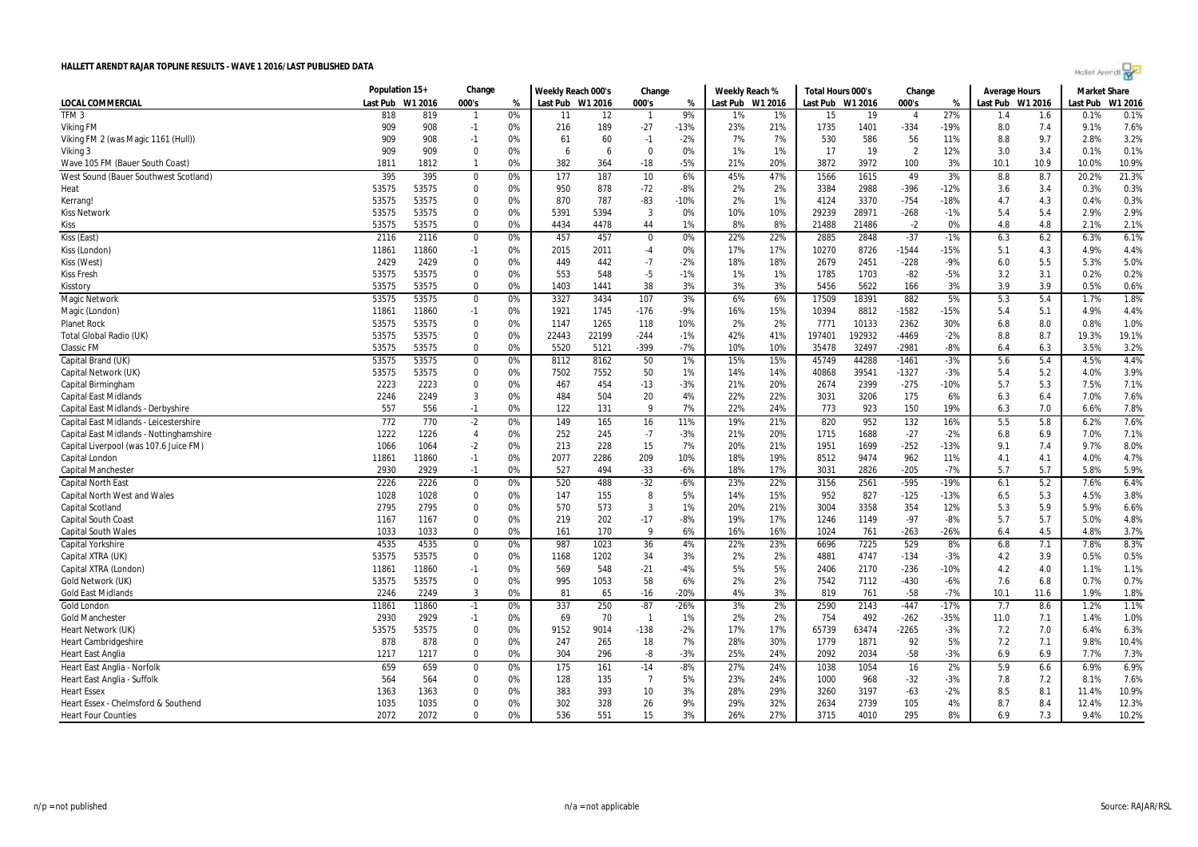| Holet Arendt |  |  |
|--------------|--|--|

|                                         | Population 15+ |         | Change           |    | Weekly Reach 000's |       | Change         |        | Weekly Reach % |         | Total Hours 000's |         | Change         |        | <b>Average Hours</b> |      | Market Share |         |
|-----------------------------------------|----------------|---------|------------------|----|--------------------|-------|----------------|--------|----------------|---------|-------------------|---------|----------------|--------|----------------------|------|--------------|---------|
| <b>LOCAL COMMERCIAL</b>                 | Last Pub       | W1 2016 | 000's            | %  | Last Pub W1 2016   |       | 000's          | %      | Last Pub       | W1 2016 | Last Pub          | W1 2016 | 000's          | %      | Last Pub W1 2016     |      | Last Pub     | W1 2016 |
| TFM <sub>3</sub>                        | 818            | 819     | $\mathbf{1}$     | 0% | 11                 | 12    |                | 9%     | 1%             | 1%      | 15                | 19      |                | 27%    | 1.4                  | 1.6  | 0.1%         | 0.1%    |
| Viking FM                               | 909            | 908     | $-1$             | 0% | 216                | 189   | $-27$          | $-13%$ | 23%            | 21%     | 1735              | 1401    | $-334$         | $-19%$ | 8.0                  | 7.4  | 9.1%         | 7.6%    |
| Viking FM 2 (was Magic 1161 (Hull))     | 909            | 908     | $-1$             | 0% | 61                 | 60    | $-1$           | $-2%$  | 7%             | 7%      | 530               | 586     | 56             | 11%    | 8.8                  | 9.7  | 2.8%         | 3.2%    |
| Viking 3                                | 909            | 909     | $\Omega$         | 0% | 6                  | -6    | $\mathbf 0$    | 0%     | 1%             | 1%      | 17                | 19      | $\overline{2}$ | 12%    | 3.0                  | 3.4  | 0.1%         | 0.1%    |
| Wave 105 FM (Bauer South Coast)         | 1811           | 1812    | $\mathbf{1}$     | 0% | 382                | 364   | $-18$          | $-5%$  | 21%            | 20%     | 3872              | 3972    | 100            | 3%     | 10.1                 | 10.9 | 10.0%        | 10.9%   |
| West Sound (Bauer Southwest Scotland)   | 395            | 395     | $\mathbf 0$      | 0% | $\overline{177}$   | 187   | 10             | 6%     | 45%            | 47%     | 1566              | 1615    | 49             | 3%     | 8.8                  | 8.7  | 20.2%        | 21.3%   |
| Heat                                    | 53575          | 53575   | $\mathbf 0$      | 0% | 950                | 878   | $-72$          | -8%    | 2%             | 2%      | 3384              | 2988    | $-396$         | $-12%$ | 3.6                  | 3.4  | 0.3%         | 0.3%    |
| Kerrang!                                | 53575          | 53575   | $\Omega$         | 0% | 870                | 787   | $-83$          | $-10%$ | 2%             | 1%      | 4124              | 3370    | $-754$         | $-18%$ | 4.7                  | 4.3  | 0.4%         | 0.3%    |
| Kiss Network                            | 53575          | 53575   | $\mathbf 0$      | 0% | 5391               | 5394  | -3             | 0%     | 10%            | 10%     | 29239             | 28971   | $-268$         | $-1%$  | 5.4                  | 5.4  | 2.9%         | 2.9%    |
| Kiss                                    | 53575          | 53575   | $\Omega$         | 0% | 4434               | 4478  | 44             | 1%     | 8%             | 8%      | 21488             | 21486   | $-2$           | 0%     | 4.8                  | 4.8  | 2.1%         | 2.1%    |
| Kiss (East)                             | 2116           | 2116    | 0                | 0% | 457                | 457   | 0              | 0%     | 22%            | 22%     | 2885              | 2848    | $-37$          | $-1%$  | 6.3                  | 6.2  | 6.3%         | 6.1%    |
| Kiss (London)                           | 11861          | 11860   | $-1$             | 0% | 2015               | 2011  | $-4$           | 0%     | 17%            | 17%     | 10270             | 8726    | $-1544$        | $-15%$ | 5.1                  | 4.3  | 4.9%         | 4.4%    |
| Kiss (West)                             | 2429           | 2429    | $\Omega$         | 0% | 449                | 442   | $-7$           | $-2%$  | 18%            | 18%     | 2679              | 2451    | $-228$         | $-9%$  | 6.0                  | 5.5  | 5.3%         | 5.0%    |
| Kiss Fresh                              | 53575          | 53575   | $\Omega$         | 0% | 553                | 548   | $-5$           | $-1%$  | 1%             | 1%      | 1785              | 1703    | $-82$          | $-5%$  | 3.2                  | 3.1  | 0.2%         | 0.2%    |
| Kisstory                                | 53575          | 53575   | $\Omega$         | 0% | 1403               | 1441  | 38             | 3%     | 3%             | 3%      | 5456              | 5622    | 166            | 3%     | 3.9                  | 3.9  | 0.5%         | 0.6%    |
| Magic Network                           | 53575          | 53575   | $\mathbf 0$      | 0% | 3327               | 3434  | 107            | 3%     | 6%             | 6%      | 17509             | 18391   | 882            | 5%     | 5.3                  | 5.4  | 1.7%         | 1.8%    |
| Magic (London)                          | 11861          | 11860   | $-1$             | 0% | 1921               | 1745  | $-176$         | -9%    | 16%            | 15%     | 10394             | 8812    | $-1582$        | $-15%$ | 5.4                  | 5.1  | 4.9%         | 4.4%    |
| <b>Planet Rock</b>                      | 53575          | 53575   | $\mathbf 0$      | 0% | 1147               | 1265  | 118            | 10%    | 2%             | 2%      | 7771              | 10133   | 2362           | 30%    | 6.8                  | 8.0  | 0.8%         | 1.0%    |
| Total Global Radio (UK)                 | 53575          | 53575   | $\mathbf 0$      | 0% | 22443              | 22199 | $-244$         | $-1%$  | 42%            | 41%     | 197401            | 192932  | $-4469$        | $-2%$  | 8.8                  | 8.7  | 19.3%        | 19.1%   |
| Classic FM                              | 53575          | 53575   | $\Omega$         | 0% | 5520               | 5121  | $-399$         | $-7%$  | 10%            | 10%     | 35478             | 32497   | $-2981$        | $-8%$  | 6.4                  | 6.3  | 3.5%         | 3.2%    |
| Capital Brand (UK)                      | 53575          | 53575   | $\boldsymbol{0}$ | 0% | 8112               | 8162  | 50             | 1%     | 15%            | 15%     | 45749             | 44288   | $-1461$        | $-3%$  | 5.6                  | 5.4  | 4.5%         | 4.4%    |
| Capital Network (UK)                    | 53575          | 53575   | $\mathbf 0$      | 0% | 7502               | 7552  | 50             | 1%     | 14%            | 14%     | 40868             | 39541   | $-1327$        | $-3%$  | 5.4                  | 5.2  | 4.0%         | 3.9%    |
| Capital Birmingham                      | 2223           | 2223    | $\mathbf 0$      | 0% | 467                | 454   | $-13$          | $-3%$  | 21%            | 20%     | 2674              | 2399    | $-275$         | $-10%$ | 5.7                  | 5.3  | 7.5%         | 7.1%    |
| <b>Capital East Midlands</b>            | 2246           | 2249    | 3                | 0% | 484                | 504   | 20             | 4%     | 22%            | 22%     | 3031              | 3206    | 175            | 6%     | 6.3                  | 6.4  | 7.0%         | 7.6%    |
| Capital East Midlands - Derbyshire      | 557            | 556     | $-1$             | 0% | 122                | 131   | q              | 7%     | 22%            | 24%     | 773               | 923     | 150            | 19%    | 6.3                  | 7.0  | 6.6%         | 7.8%    |
| Capital East Midlands - Leicestershire  | 772            | 770     | $-2$             | 0% | 149                | 165   | 16             | 11%    | 19%            | 21%     | 820               | 952     | 132            | 16%    | 5.5                  | 5.8  | 6.2%         | 7.6%    |
| Capital East Midlands - Nottinghamshire | 1222           | 1226    | $\overline{4}$   | 0% | 252                | 245   | $-7$           | $-3%$  | 21%            | 20%     | 1715              | 1688    | $-27$          | $-2%$  | 6.8                  | 6.9  | 7.0%         | 7.1%    |
| Capital Liverpool (was 107.6 Juice FM)  | 1066           | 1064    | $-2$             | 0% | 213                | 228   | 15             | 7%     | 20%            | 21%     | 1951              | 1699    | $-252$         | $-13%$ | 9.1                  | 7.4  | 9.7%         | 8.0%    |
| Capital London                          | 11861          | 11860   | $-1$             | 0% | 2077               | 2286  | 209            | 10%    | 18%            | 19%     | 8512              | 9474    | 962            | 11%    | 4.1                  | 4.1  | 4.0%         | 4.7%    |
| Capital Manchester                      | 2930           | 2929    | $-1$             | 0% | 527                | 494   | $-33$          | $-6%$  | 18%            | 17%     | 3031              | 2826    | $-205$         | $-7%$  | 5.7                  | 5.7  | 5.8%         | 5.9%    |
| <b>Capital North East</b>               | 2226           | 2226    | $\mathbf 0$      | 0% | 520                | 488   | $-32$          | $-6%$  | 23%            | 22%     | 3156              | 2561    | $-595$         | $-19%$ | 6.1                  | 5.2  | 7.6%         | 6.4%    |
| <b>Capital North West and Wales</b>     | 1028           | 1028    | $\mathbf 0$      | 0% | 147                | 155   | 8              | 5%     | 14%            | 15%     | 952               | 827     | $-125$         | $-13%$ | 6.5                  | 5.3  | 4.5%         | 3.8%    |
| <b>Capital Scotland</b>                 | 2795           | 2795    | $\Omega$         | 0% | 570                | 573   | 3              | 1%     | 20%            | 21%     | 3004              | 3358    | 354            | 12%    | 5.3                  | 5.9  | 5.9%         | 6.6%    |
| Capital South Coast                     | 1167           | 1167    | $\mathbf 0$      | 0% | 219                | 202   | $-17$          | -8%    | 19%            | 17%     | 1246              | 1149    | $-97$          | $-8%$  | 5.7                  | 5.7  | 5.0%         | 4.8%    |
| Capital South Wales                     | 1033           | 1033    | $\Omega$         | 0% | 161                | 170   | q              | 6%     | 16%            | 16%     | 1024              | 761     | $-263$         | $-26%$ | 6.4                  | 4.5  | 4.8%         | 3.7%    |
| Capital Yorkshire                       | 4535           | 4535    | 0                | 0% | 987                | 1023  | 36             | 4%     | 22%            | 23%     | 6696              | 7225    | 529            | 8%     | 6.8                  | 7.1  | 7.8%         | 8.3%    |
| Capital XTRA (UK)                       | 53575          | 53575   | $\mathbf 0$      | 0% | 1168               | 1202  | 34             | 3%     | 2%             | 2%      | 4881              | 4747    | $-134$         | $-3%$  | 4.2                  | 3.9  | 0.5%         | 0.5%    |
| Capital XTRA (London)                   | 11861          | 11860   | $-1$             | 0% | 569                | 548   | $-21$          | -4%    | 5%             | 5%      | 2406              | 2170    | $-236$         | $-10%$ | 4.2                  | 4.0  | 1.1%         | 1.1%    |
| Gold Network (UK)                       | 53575          | 53575   | $\Omega$         | 0% | 995                | 1053  | 58             | 6%     | 2%             | 2%      | 7542              | 7112    | $-430$         | $-6%$  | 7.6                  | 6.8  | 0.7%         | 0.7%    |
| <b>Gold East Midlands</b>               | 2246           | 2249    | 3                | 0% | 81                 | 65    | $-16$          | $-20%$ | 4%             | 3%      | 819               | 761     | $-58$          | $-7%$  | 10.1                 | 11.6 | 1.9%         | 1.8%    |
| <b>Gold London</b>                      | 11861          | 11860   | $-1$             | 0% | 337                | 250   | $-87$          | $-26%$ | 3%             | 2%      | 2590              | 2143    | $-447$         | $-17%$ | 7.7                  | 8.6  | 1.2%         | 1.1%    |
| <b>Gold Manchester</b>                  | 2930           | 2929    | $-1$             | 0% | 69                 | 70    | $\overline{1}$ | 1%     | 2%             | 2%      | 754               | 492     | $-262$         | $-35%$ | 11.0                 | 7.1  | 1.4%         | 1.0%    |
| Heart Network (UK                       | 53575          | 53575   | $\mathbf 0$      | 0% | 9152               | 9014  | $-138$         | $-2%$  | 17%            | 17%     | 65739             | 63474   | $-2265$        | $-3%$  | 7.2                  | 7.0  | 6.4%         | 6.3%    |
| Heart Cambridgeshire                    | 878            | 878     | $\mathbf 0$      | 0% | 247                | 265   | 18             | 7%     | 28%            | 30%     | 1779              | 1871    | 92             | 5%     | 7.2                  | 7.1  | 9.8%         | 10.4%   |
| Heart East Anglia                       | 1217           | 1217    | $\Omega$         | 0% | 304                | 296   | -8             | -3%    | 25%            | 24%     | 2092              | 2034    | $-58$          | $-3%$  | 6.9                  | 6.9  | 7.7%         | 7.3%    |
| Heart East Anglia - Norfolk             | 659            | 659     | $\mathbf 0$      | 0% | 175                | 161   | $-14$          | -8%    | 27%            | 24%     | 1038              | 1054    | 16             | 2%     | 5.9                  | 6.6  | 6.9%         | 6.9%    |
| Heart East Anglia - Suffolk             | 564            | 564     | $\Omega$         | 0% | 128                | 135   | -7             | 5%     | 23%            | 24%     | 1000              | 968     | $-32$          | $-3%$  | 7.8                  | 7.2  | 8.1%         | 7.6%    |
| Heart Essex                             | 1363           | 1363    | $\mathbf 0$      | 0% | 383                | 393   | 10             | 3%     | 28%            | 29%     | 3260              | 3197    | $-63$          | $-2%$  | 8.5                  | 8.1  | 11.4%        | 10.9%   |
| Heart Essex - Chelmsford & Southend     | 1035           | 1035    | $\mathbf 0$      | 0% | 302                | 328   | 26             | 9%     | 29%            | 32%     | 2634              | 2739    | 105            | 4%     | 8.7                  | 8.4  | 12.4%        | 12.3%   |
| <b>Heart Four Counties</b>              | 2072           | 2072    | $\Omega$         | 0% | 536                | 551   | 15             | 3%     | 26%            | 27%     | 3715              | 4010    | 295            | 8%     | 6.9                  | 7.3  | 9.4%         | 10.2%   |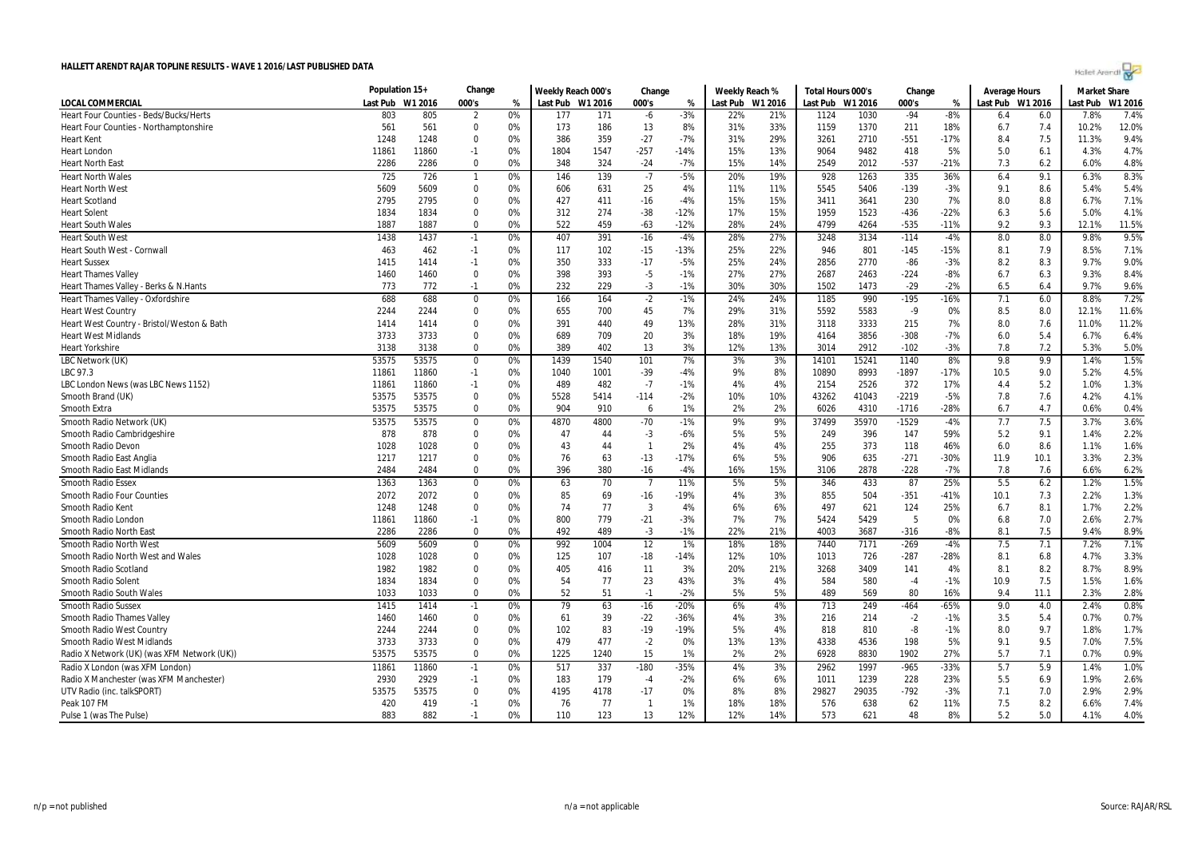| Holet Arendi |  |
|--------------|--|

|                                             | Population 15+ |         | Change         |    | Weekly Reach 000's |      | Change       |        | Weekly Reach % |                  | Total Hours 000's |       | Change  |        | <b>Average Hours</b> |      | <b>Market Share</b> |         |
|---------------------------------------------|----------------|---------|----------------|----|--------------------|------|--------------|--------|----------------|------------------|-------------------|-------|---------|--------|----------------------|------|---------------------|---------|
| LOCAL COMMERCIAL                            | Last Pub       | W1 2016 | 000's          | %  | Last Pub W1 2016   |      | 000's        | %      |                | Last Pub W1 2016 | Last Pub W1 2016  |       | 000's   | %      | Last Pub W1 2016     |      | Last Pub            | W1 2016 |
| Heart Four Counties - Beds/Bucks/Herts      | 803            | 805     | $\overline{2}$ | 0% | 177                | 171  | -6           | $-3%$  | 22%            | 21%              | 1124              | 1030  | $-94$   | $-8%$  | 6.4                  | 6.0  | 7.8%                | 7.4%    |
| Heart Four Counties - Northamptonshire      | 561            | 561     | $\mathbf 0$    | 0% | 173                | 186  | 13           | 8%     | 31%            | 33%              | 1159              | 1370  | 211     | 18%    | 6.7                  | 7.4  | 10.2%               | 12.0%   |
| Heart Kent                                  | 1248           | 1248    | $\mathbf 0$    | 0% | 386                | 359  | $-27$        | $-7%$  | 31%            | 29%              | 3261              | 2710  | $-551$  | $-17%$ | 8.4                  | 7.5  | 11.3%               | 9.4%    |
| Heart London                                | 11861          | 11860   | $-1$           | 0% | 1804               | 1547 | $-257$       | $-14%$ | 15%            | 13%              | 9064              | 9482  | 418     | 5%     | 5.0                  | 6.1  | 4.3%                | 4.7%    |
| <b>Heart North East</b>                     | 2286           | 2286    | $\Omega$       | 0% | 348                | 324  | $-24$        | $-7%$  | 15%            | 14%              | 2549              | 2012  | $-537$  | $-21%$ | 7.3                  | 6.2  | 6.0%                | 4.8%    |
| <b>Heart North Wales</b>                    | 725            | 726     | $\mathbf{1}$   | 0% | 146                | 139  | $-7$         | $-5%$  | 20%            | 19%              | 928               | 1263  | 335     | 36%    | 6.4                  | 9.1  | 6.3%                | 8.3%    |
| <b>Heart North West</b>                     | 5609           | 5609    | 0              | 0% | 606                | 631  | 25           | 4%     | 11%            | 11%              | 5545              | 5406  | -139    | $-3%$  | 9.1                  | 8.6  | 5.4%                | 5.4%    |
| <b>Heart Scotland</b>                       | 2795           | 2795    | $\mathbf 0$    | 0% | 427                | 411  | $-16$        | $-4%$  | 15%            | 15%              | 3411              | 3641  | 230     | 7%     | 8.0                  | 8.8  | 6.7%                | 7.1%    |
| <b>Heart Solent</b>                         | 1834           | 1834    | $\mathbf 0$    | 0% | 312                | 274  | $-38$        | $-12%$ | 17%            | 15%              | 1959              | 1523  | $-436$  | $-22%$ | 6.3                  | 5.6  | 5.0%                | 4.1%    |
| <b>Heart South Wales</b>                    | 1887           | 1887    | $\Omega$       | 0% | 522                | 459  | $-63$        | $-12%$ | 28%            | 24%              | 4799              | 4264  | $-535$  | $-11%$ | 9.2                  | 9.3  | 12.1%               | 11.5%   |
| <b>Heart South West</b>                     | 1438           | 1437    | $-1$           | 0% | 407                | 391  | $-16$        | $-4%$  | 28%            | 27%              | 3248              | 3134  | $-114$  | $-4%$  | 8.0                  | 8.0  | 9.8%                | 9.5%    |
| Heart South West - Cornwall                 | 463            | 462     | $-1$           | 0% | 117                | 102  | $-15$        | $-13%$ | 25%            | 22%              | 946               | 801   | $-145$  | $-15%$ | 8.1                  | 7.9  | 8.5%                | 7.1%    |
| <b>Heart Sussex</b>                         | 1415           | 1414    | $-1$           | 0% | 350                | 333  | $-17$        | $-5%$  | 25%            | 24%              | 2856              | 2770  | -86     | $-3%$  | 8.2                  | 8.3  | 9.7%                | 9.0%    |
| <b>Heart Thames Valley</b>                  | 1460           | 1460    | 0              | 0% | 398                | 393  | $-5$         | $-1%$  | 27%            | 27%              | 2687              | 2463  | $-224$  | $-8%$  | 6.7                  | 6.3  | 9.3%                | 8.4%    |
| Heart Thames Valley - Berks & N.Hants       | 773            | 772     | $-1$           | 0% | 232                | 229  | $-3$         | $-1%$  | 30%            | 30%              | 1502              | 1473  | $-29$   | $-2%$  | 6.5                  | 6.4  | 9.7%                | 9.6%    |
| Heart Thames Valley - Oxfordshire           | 688            | 688     | 0              | 0% | 166                | 164  | $-2$         | $-1%$  | 24%            | 24%              | 1185              | 990   | $-195$  | -16%   | 7.1                  | 6.0  | 8.8%                | 7.2%    |
| <b>Heart West Country</b>                   | 2244           | 2244    | $\mathbf 0$    | 0% | 655                | 700  | 45           | 7%     | 29%            | 31%              | 5592              | 5583  | $-9$    | 0%     | 8.5                  | 8.0  | 12.1%               | 11.6%   |
| Heart West Country - Bristol/Weston & Bath  | 1414           | 1414    | $\Omega$       | 0% | 391                | 440  | 49           | 13%    | 28%            | 31%              | 3118              | 3333  | 215     | 7%     | 8.0                  | 7.6  | 11.0%               | 11.2%   |
| <b>Heart West Midlands</b>                  | 3733           | 3733    | $\Omega$       | 0% | 689                | 709  | 20           | 3%     | 18%            | 19%              | 4164              | 3856  | $-308$  | $-7%$  | 6.0                  | 5.4  | 6.7%                | 6.4%    |
| Heart Yorkshire                             | 3138           | 3138    | $\Omega$       | 0% | 389                | 402  | 13           | 3%     | 12%            | 13%              | 3014              | 2912  | $-102$  | $-3%$  | 7.8                  | 7.2  | 5.3%                | 5.0%    |
| LBC Network (UK)                            | 53575          | 53575   | 0              | 0% | 1439               | 1540 | 101          | 7%     | 3%             | 3%               | 14101             | 15241 | 1140    | 8%     | 9.8                  | 9.9  | 1.4%                | 1.5%    |
| LBC 97.3                                    | 11861          | 11860   | $-1$           | 0% | 1040               | 1001 | $-39$        | $-4%$  | 9%             | 8%               | 10890             | 8993  | $-1897$ | $-17%$ | 10.5                 | 9.0  | 5.2%                | 4.5%    |
| LBC London News (was LBC News 1152)         | 11861          | 11860   | $-1$           | 0% | 489                | 482  | $-7$         | $-1%$  | 4%             | 4%               | 2154              | 2526  | 372     | 17%    | 4.4                  | 5.2  | 1.0%                | 1.3%    |
| Smooth Brand (UK)                           | 53575          | 53575   | 0              | 0% | 5528               | 5414 | $-114$       | $-2%$  | 10%            | 10%              | 43262             | 41043 | $-2219$ | $-5%$  | 7.8                  | 7.6  | 4.2%                | 4.1%    |
| Smooth Extra                                | 53575          | 53575   | $\Omega$       | 0% | 904                | 910  | 6            | 1%     | 2%             | 2%               | 6026              | 4310  | $-1716$ | $-28%$ | 6.7                  | 4.7  | 0.6%                | 0.4%    |
| Smooth Radio Network (UK)                   | 53575          | 53575   | 0              | 0% | 4870               | 4800 | $-70$        | $-1%$  | 9%             | 9%               | 37499             | 35970 | $-1529$ | $-4%$  | 7.7                  | 7.5  | 3.7%                | 3.6%    |
| Smooth Radio Cambridgeshire                 | 878            | 878     | $\Omega$       | 0% | 47                 | 44   | $-3$         | $-6%$  | 5%             | 5%               | 249               | 396   | 147     | 59%    | 5.2                  | 9.1  | 1.4%                | 2.2%    |
| Smooth Radio Devon                          | 1028           | 1028    | $\mathbf 0$    | 0% | 43                 | 44   | $\mathbf{1}$ | 2%     | 4%             | 4%               | 255               | 373   | 118     | 46%    | 6.0                  | 8.6  | 1.1%                | 1.6%    |
| Smooth Radio East Anglia                    | 1217           | 1217    | 0              | 0% | 76                 | 63   | $-13$        | $-17%$ | 6%             | 5%               | 906               | 635   | $-271$  | -30%   | 11.9                 | 10.1 | 3.3%                | 2.3%    |
| Smooth Radio East Midlands                  | 2484           | 2484    | $\Omega$       | 0% | 396                | 380  | $-16$        | $-4%$  | 16%            | 15%              | 3106              | 2878  | $-228$  | $-7%$  | 7.8                  | 7.6  | 6.6%                | 6.2%    |
| Smooth Radio Essex                          | 1363           | 1363    | 0              | 0% | 63                 | 70   | - 7          | 11%    | 5%             | 5%               | 346               | 433   | 87      | 25%    | 5.5                  | 6.2  | 1.2%                | 1.5%    |
| <b>Smooth Radio Four Counties</b>           | 2072           | 2072    | $\mathbf 0$    | 0% | 85                 | 69   | $-16$        | -19%   | 4%             | 3%               | 855               | 504   | $-351$  | $-41%$ | 10.1                 | 7.3  | 2.2%                | 1.3%    |
| Smooth Radio Kent                           | 1248           | 1248    | $\Omega$       | 0% | 74                 | 77   | 3            | 4%     | 6%             | 6%               | 497               | 621   | 124     | 25%    | 6.7                  | 8.1  | 1.7%                | 2.2%    |
| Smooth Radio London                         | 11861          | 11860   | $-1$           | 0% | 800                | 779  | $-21$        | $-3%$  | 7%             | 7%               | 5424              | 5429  | 5       | 0%     | 6.8                  | 7.0  | 2.6%                | 2.7%    |
| Smooth Radio North East                     | 2286           | 2286    | $\Omega$       | 0% | 492                | 489  | $-3$         | $-1%$  | 22%            | 21%              | 4003              | 3687  | $-316$  | $-8%$  | 8.1                  | 7.5  | 9.4%                | 8.9%    |
| <b>Smooth Radio North West</b>              | 5609           | 5609    | 0              | 0% | 992                | 1004 | 12           | 1%     | 18%            | 18%              | 7440              | 7171  | $-269$  | $-4%$  | 7.5                  | 7.1  | 7.2%                | 7.1%    |
| Smooth Radio North West and Wales           | 1028           | 1028    | $\mathbf 0$    | 0% | 125                | 107  | $-18$        | $-14%$ | 12%            | 10%              | 1013              | 726   | $-287$  | -28%   | 8.1                  | 6.8  | 4.7%                | 3.3%    |
| Smooth Radio Scotland                       | 1982           | 1982    | 0              | 0% | 405                | 416  | 11           | 3%     | 20%            | 21%              | 3268              | 3409  | 141     | 4%     | 8.1                  | 8.2  | 8.7%                | 8.9%    |
| Smooth Radio Solent                         | 1834           | 1834    | $\mathbf 0$    | 0% | 54                 | 77   | 23           | 43%    | 3%             | 4%               | 584               | 580   | $-4$    | $-1%$  | 10.9                 | 7.5  | 1.5%                | 1.6%    |
| Smooth Radio South Wales                    | 1033           | 1033    | $\Omega$       | 0% | 52                 | 51   | $-1$         | $-2%$  | 5%             | 5%               | 489               | 569   | 80      | 16%    | 9.4                  | 11.1 | 2.3%                | 2.8%    |
| <b>Smooth Radio Sussex</b>                  | 1415           | 1414    | $-1$           | 0% | 79                 | 63   | $-16$        | $-20%$ | 6%             | 4%               | 713               | 249   | $-464$  | $-65%$ | 9.0                  | 4.0  | 2.4%                | 0.8%    |
| <b>Smooth Radio Thames Valley</b>           | 1460           | 1460    | $\Omega$       | 0% | 61                 | 39   | $-22$        | -36%   | 4%             | 3%               | 216               | 214   | $-2$    | $-1%$  | 3.5                  | 5.4  | 0.7%                | 0.7%    |
| <b>Smooth Radio West Country</b>            | 2244           | 2244    | $\mathbf 0$    | 0% | 102                | 83   | $-19$        | $-19%$ | 5%             | 4%               | 818               | 810   | -8      | $-1%$  | 8.0                  | 9.7  | 1.8%                | 1.7%    |
| Smooth Radio West Midlands                  | 3733           | 3733    | $\mathbf 0$    | 0% | 479                | 477  | $-2$         | 0%     | 13%            | 13%              | 4338              | 4536  | 198     | 5%     | 9.1                  | 9.5  | 7.0%                | 7.5%    |
| Radio X Network (UK) (was XFM Network (UK)) | 53575          | 53575   | $\mathbf 0$    | 0% | 1225               | 1240 | 15           | 1%     | 2%             | 2%               | 6928              | 8830  | 1902    | 27%    | 5.7                  | 7.1  | 0.7%                | 0.9%    |
| Radio X London (was XFM London)             | 11861          | 11860   | $-1$           | 0% | 517                | 337  | $-180$       | $-35%$ | 4%             | 3%               | 2962              | 1997  | $-965$  | $-33%$ | 5.7                  | 5.9  | 1.4%                | 1.0%    |
| Radio X Manchester (was XFM Manchester)     | 2930           | 2929    | $-1$           | 0% | 183                | 179  | $-4$         | $-2%$  | 6%             | 6%               | 1011              | 1239  | 228     | 23%    | 5.5                  | 6.9  | 1.9%                | 2.6%    |
| UTV Radio (inc. talkSPORT)                  | 53575          | 53575   | $\mathbf 0$    | 0% | 4195               | 4178 | $-17$        | 0%     | 8%             | 8%               | 29827             | 29035 | $-792$  | $-3%$  | 7.1                  | 7.0  | 2.9%                | 2.9%    |
| Peak 107 FM                                 | 420            | 419     | $-1$           | 0% | 76                 | 77   | $\mathbf{1}$ | 1%     | 18%            | 18%              | 576               | 638   | 62      | 11%    | 7.5                  | 8.2  | 6.6%                | 7.4%    |
| Pulse 1 (was The Pulse)                     | 883            | 882     | $-1$           | 0% | 110                | 123  | 13           | 12%    | 12%            | 14%              | 573               | 621   | 48      | 8%     | 5.2                  | 5.0  | 4.1%                | 4.0%    |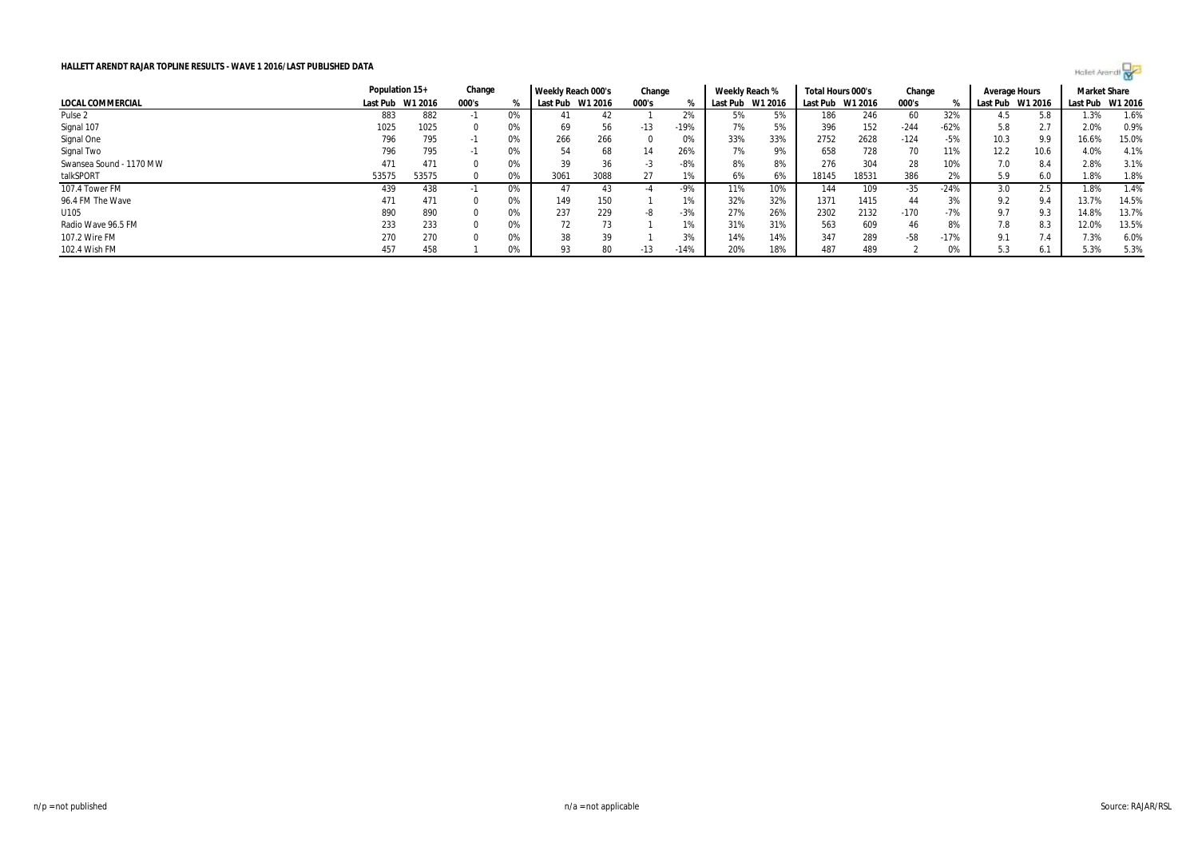

|                         | Population 15+   |       | Change |    | Weekly Reach 000's |      | Change |        | Weekly Reach % |                  | Total Hours 000's |         | Change |        | Average Hours |         | <b>Market Share</b> |       |
|-------------------------|------------------|-------|--------|----|--------------------|------|--------|--------|----------------|------------------|-------------------|---------|--------|--------|---------------|---------|---------------------|-------|
| LOCAL COMMERCIAL        | Last Pub W1 2016 |       | 000's  |    | Last Pub W1 2016   |      | 000's  |        |                | Last Pub W1 2016 | Last Pub          | W1 2016 | 000's  |        | Last Pub      | W1 2016 | Last Pub W1 2016    |       |
| Pulse 2                 | 883              | 882   |        | 0% | 41                 |      |        | 2%     | 5%             |                  | 186               | 246     | 60     | 32%    |               | 5.8     | 1.3%                | 1.6%  |
| Signal 107              | 1025             | 1025  |        | 0% | 69                 | 56   | $-13$  | $-19%$ | 7%             | 5%               | 396               | 152     | $-244$ | $-62%$ | 5.8           | 2.7     | 2.0%                | 0.9%  |
| Signal One              | 796              | 795   | $-1$   | 0% | 266                | 266  |        | U%     | 33%            | 33%              | 2752              | 2628    | $-124$ | -5%    | 10.3          | 9.9     | 16.6%               | 15.0% |
| Signal Two              | 796              | 795   | - 11   | 0% | 54                 | 68   | 14     | 26%    | 7%             | 9%               | 658               | 728     | 70     | 11%    | 12.2          | 10.6    | 4.0%                | 4.1%  |
| Swansea Sound - 1170 MW | 471              | 471   |        | 0% | 39                 | 36   | -5     | -8%    | 8%             | 8%               | 276               | 304     | 28     | 10%    | 7.0           |         | 2.8%                | 3.1%  |
| talkSPORT               | 53575            | 53575 |        | 0% | 3061               | 3088 | 27     | 1%     | 6%             | 6%               | 18145             | 18531   | 386    | 2%     | 5.9           | 6.0     | 1.8%                | 1.8%  |
| 107.4 Tower FM          | 439              | 438   |        | 0% | 47                 | 43   | -4     | -9%    | 11%            | 10%              | 144               | 109     | -35    | $-24%$ | 3.0           |         | 1.8%                | 1.4%  |
| 96.4 FM The Wave        | 471              | 471   |        | 0% | 149                | 150  |        | 1%     | 32%            | 32%              | 1371              | 1415    | 44     | 3%     | 9.2           | 9.4     | 13.7%               | 14.5% |
| U105                    | 890              | 890   |        | 0% | 237                | 229  | -8     | $-3%$  | 27%            | 26%              | 2302              | 2132    | $-170$ | $-7%$  | 9.7           | 9.3     | 14.8%               | 13.7% |
| Radio Wave 96.5 FM      | 233              | 233   |        | 0% | 72                 | 73   |        | 1%     | 31%            | 31%              | 563               | 609     | 46     | 8%     | 7.8           | 8.3     | 12.0%               | 13.5% |
| 107.2 Wire FM           | 270              | 270   |        | 0% | 38                 | 39   |        | 3%     | 14%            | 14%              | 347               | 289     | $-58$  | $-17%$ | 9.1           | 7.4     | 7.3%                | 6.0%  |
| 102.4 Wish FM           | 457              | 458   |        | 0% | 93                 | 80   | $-13$  | $-14%$ | 20%            | 18%              | 487               | 489     |        | 0%     |               | 6.1     | 5.3%                | 5.3%  |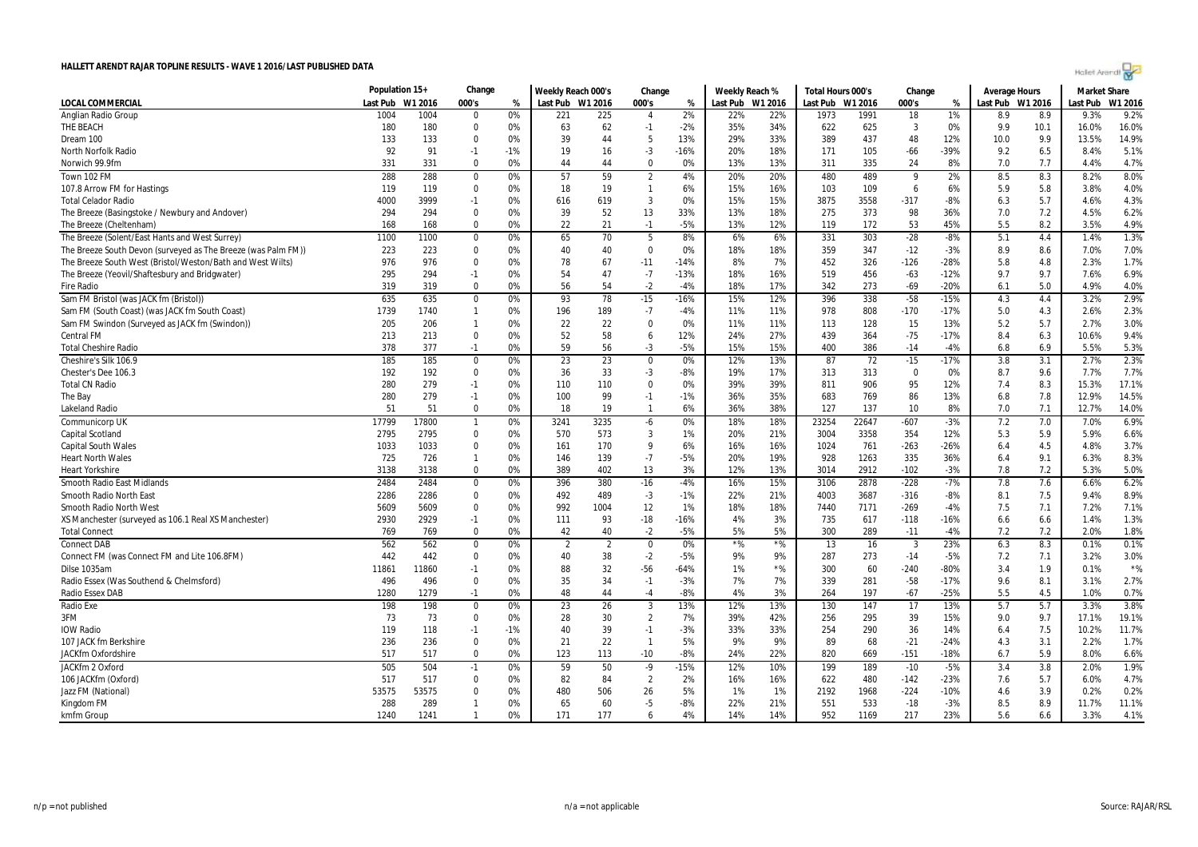| Hollet Arendt |  |
|---------------|--|

|                                                               | Population 15+ |              | Change            |          | Weekly Reach 000's |                | Change         |             | Weekly Reach % |           | Total Hours 000's |             | Change                  |                 | <b>Average Hours</b> |            | <b>Market Share</b> |               |
|---------------------------------------------------------------|----------------|--------------|-------------------|----------|--------------------|----------------|----------------|-------------|----------------|-----------|-------------------|-------------|-------------------------|-----------------|----------------------|------------|---------------------|---------------|
| LOCAL COMMERCIAL                                              | Last Pub       | W1 2016      | 000's             | %        | Last Pub W1 2016   |                | 000's          | %           | Last Pub       | W1 2016   | Last Pub          | W1 2016     | 000's                   | %               | Last Pub W1 2016     |            | Last Pub            | W1 2016       |
| Anglian Radio Group                                           | 1004           | 1004         | $\Omega$          | 0%       | 221                | 225            | $\overline{4}$ | 2%          | 22%            | 22%       | 1973              | 1991        | 18                      | 1%              | 8.9                  | 8.9        | 9.3%                | 9.2%          |
| THE BEACH                                                     | 180            | 180          | $\pmb{0}$         | 0%       | 63                 | 62             | $-1$           | $-2%$       | 35%            | 34%       | 622               | 625         | 3                       | 0%              | 9.9                  | 10.1       | 16.0%               | 16.0%         |
| Dream 100                                                     | 133            | 133          | $\Omega$          | 0%       | 39                 | 44             | 5              | 13%         | 29%            | 33%       | 389               | 437         | 48                      | 12%             | 10.0                 | 9.9        | 13.5%               | 14.9%         |
| North Norfolk Radio                                           | 92             | 91           | $-1$              | $-1%$    | 19                 | 16             | $-3$           | $-16%$      | 20%            | 18%       | 171               | 105         | $-66$                   | $-39%$          | 9.2                  | 6.5        | 8.4%                | 5.1%          |
| Norwich 99.9fm                                                | 331            | 331          | $\Omega$          | 0%       | 44                 | 44             | $\Omega$       | 0%          | 13%            | 13%       | 311               | 335         | 24                      | 8%              | 7.0                  | 7.7        | 4.4%                | 4.7%          |
| Town 102 FM                                                   | 288            | 288          | $\pmb{0}$         | 0%       | 57                 | 59             | $\overline{2}$ | 4%          | 20%            | 20%       | 480               | 489         | 9                       | 2%              | 8.5                  | 8.3        | 8.2%                | 8.0%          |
| 107.8 Arrow FM for Hastings                                   | 119            | 119          | $\Omega$          | 0%       | 18                 | 19             | $\mathbf{1}$   | 6%          | 15%            | 16%       | 103               | 109         | 6                       | 6%              | 5.9                  | 5.8        | 3.8%                | 4.0%          |
| <b>Total Celador Radio</b>                                    | 4000           | 3999         | $-1$              | 0%       | 616                | 619            | 3              | 0%          | 15%            | 15%       | 3875              | 3558        | $-317$                  | $-8%$           | 6.3                  | 5.7        | 4.6%                | 4.3%          |
| The Breeze (Basingstoke / Newbury and Andover)                | 294            | 294          | 0                 | 0%       | 39                 | 52             | 13             | 33%         | 13%            | 18%       | 275               | 373         | 98                      | 36%             | 7.0                  | 7.2        | 4.5%                | 6.2%          |
| The Breeze (Cheltenham                                        | 168            | 168          | $\Omega$          | 0%       | 22                 | 21             | $-1$           | $-5%$       | 13%            | 12%       | 119               | 172         | 53                      | 45%             | 5.5                  | 8.2        | 3.5%                | 4.9%          |
| The Breeze (Solent/East Hants and West Surrey)                | 1100           | 1100         | 0                 | 0%       | 65                 | 70             | 5              | 8%          | 6%             | 6%        | 331               | 303         | $-28$                   | $-8%$           | 5.1                  | 4.4        | 1.4%                | 1.3%          |
| The Breeze South Devon (surveyed as The Breeze (was Palm FM)) | 223            | 223          | $\Omega$          | 0%       | 40                 | 40             | $\mathbf 0$    | 0%          | 18%            | 18%       | 359               | 347         | $-12$                   | $-3%$           | 8.9                  | 8.6        | 7.0%                | 7.0%          |
| The Breeze South West (Bristol/Weston/Bath and West Wilts)    | 976            | 976          | $\Omega$          | 0%       | 78                 | 67             | $-11$          | $-14%$      | 8%             | 7%        | 452               | 326         | $-126$                  | $-28%$          | 5.8                  | 4.8        | 2.3%                | 1.7%          |
| The Breeze (Yeovil/Shaftesbury and Bridgwater)                | 295            | 294          | $-1$              | 0%       | 54                 | 47             | $-7$           | $-13%$      | 18%            | 16%       | 519               | 456         | $-63$                   | $-12%$          | 9.7                  | 9.7        | 7.6%                | 6.9%          |
| <b>Fire Radio</b>                                             | 319            | 319          | $\Omega$          | 0%       | 56                 | 54             | $-2$           | $-4%$       | 18%            | 17%       | 342               | 273         | $-69$                   | $-20%$          | 6.1                  | 5.0        | 4.9%                | 4.0%          |
| Sam FM Bristol (was JACK fm (Bristol))                        | 635            | 635          | $\Omega$          | 0%       | 93                 | 78             | $-15$          | $-16%$      | 15%            | 12%       | 396               | 338         | $-58$                   | $-15%$          | 4.3                  | 4.4        | 3.2%                | 2.9%          |
| Sam FM (South Coast) (was JACK fm South Coast)                | 1739           | 1740         | $\mathbf{1}$      | 0%       | 196                | 189            | $-7$           | $-4%$       | 11%            | 11%       | 978               | 808         | $-170$                  | $-17%$          | 5.0                  | 4.3        | 2.6%                | 2.3%          |
| Sam FM Swindon (Surveyed as JACK fm (Swindon))                | 205            | 206          | $\mathbf{1}$      | 0%       | 22                 | 22             | 0              | 0%          | 11%            | 11%       | 113               | 128         | 15                      | 13%             | 5.2                  | 5.7        | 2.7%                | 3.0%          |
| Central FM                                                    | 213            | 213          | $\mathbf 0$       | 0%       | 52                 | 58             | 6              | 12%         | 24%            | 27%       | 439               | 364         | $-75$                   | $-17%$          | 8.4                  | 6.3        | 10.6%               | 9.4%          |
| <b>Total Cheshire Radio</b>                                   | 378            | 377          | $-1$              | 0%       | 59                 | 56             | $-3$           | $-5%$       | 15%            | 15%       | 400               | 386         | $-14$                   | $-4%$           | 6.8                  | 6.9        | 5.5%                | 5.3%          |
| Cheshire's Silk 106.9                                         | 185            | 185          | $\mathbf 0$       | 0%       | 23                 | 23             | $\mathbf 0$    | 0%          | 12%            | 13%       | 87                | 72          | $-15$                   | $-17%$          | 3.8                  | 3.1        | 2.7%                | 2.3%          |
| Chester's Dee 106.3                                           | 192            | 192          | $\mathbf 0$       | 0%       | 36                 | 33             | $-3$           | $-8%$       | 19%            | 17%       | 313               | 313         | $\Omega$                | 0%              | 8.7                  | 9.6        | 7.7%                | 7.7%          |
| <b>Total CN Radio</b>                                         | 280            | 279          | $-1$              | 0%       | 110                | 110            | $\mathbf{0}$   | 0%          | 39%            | 39%       | 811               | 906         | 95                      | 12%             | 7.4                  | 8.3        | 15.3%               | 17.1%         |
| The Bay                                                       | 280            | 279          | $-1$              | 0%       | 100                | 99             | $-1$           | $-1%$       | 36%            | 35%       | 683               | 769         | 86                      | 13%             | 6.8                  | 7.8        | 12.9%               | 14.5%         |
| <b>Lakeland Radio</b>                                         | 51             | 51           | $\Omega$          | 0%       | 18                 | 19             | $\mathbf{1}$   | 6%          | 36%            | 38%       | 127               | 137         | 10                      | 8%              | 7.0                  | 7.1        | 12.7%               | 14.0%         |
| Communicorp UK                                                | 17799          | 17800        | $\mathbf{1}$      | 0%       | 3241               | 3235           | -6             | 0%          | 18%            | 18%       | 23254             | 22647       | $-607$                  | $-3%$           | 7.2                  | 7.0        | 7.0%                | 6.9%          |
| Capital Scotland                                              | 2795           | 2795         | $\mathbf 0$       | 0%       | 570                | 573            | $\mathbf{3}$   | 1%          | 20%            | 21%       | 3004              | 3358        | 354                     | 12%             | 5.3                  | 5.9        | 5.9%                | 6.6%          |
| <b>Capital South Wales</b>                                    | 1033           | 1033         | $\mathbf 0$       | 0%       | 161                | 170            | 9              | 6%          | 16%            | 16%       | 1024              | 761         | $-263$                  | $-26%$          | 6.4                  | 4.5        | 4.8%                | 3.7%          |
| <b>Heart North Wales</b>                                      | 725            | 726          | $\mathbf{1}$      | 0%       | 146                | 139            | $-7$           | $-5%$       | 20%            | 19%       | 928               | 1263        | 335                     | 36%             | 6.4                  | 9.1        | 6.3%                | 8.3%          |
| Heart Yorkshire                                               | 3138           | 3138         | $\Omega$          | 0%       | 389                | 402            | 13             | 3%          | 12%            | 13%       | 3014              | 2912        | $-102$                  | $-3%$           | 7.8                  | 7.2        | 5.3%                | 5.0%          |
| <b>Smooth Radio East Midlands</b>                             | 2484           | 2484         | $\boldsymbol{0}$  | 0%       | 396                | 380            | $-16$          | $-4%$       | 16%            | 15%       | 3106              | 2878        | $-228$                  | $-7%$           | 7.8                  | 7.6        | 6.6%                | 6.2%          |
| Smooth Radio North East                                       | 2286           | 2286         | $\mathbf 0$       | 0%       | 492                | 489            | $-3$           | $-1%$       | 22%            | 21%       | 4003              | 3687        | $-316$                  | $-8%$           | 8.1                  | 7.5        | 9.4%                | 8.9%          |
| Smooth Radio North West                                       | 5609           | 5609         | $\mathbf 0$       | 0%       | 992                | 1004           | 12             | 1%          | 18%            | 18%       | 7440              | 7171        | $-269$                  | $-4%$           | 7.5                  | 7.1        | 7.2%                | 7.1%          |
| XS Manchester (surveyed as 106.1 Real XS Manchester)          | 2930           | 2929         | $-1$              | 0%       | 111                | 93             | $-18$          | -16%        | 4%             | 3%        | 735               | 617         | -118                    | $-16%$          | 6.6                  | 6.6        | 1.4%                | 1.3%          |
| <b>Total Connect</b>                                          | 769            | 769          | $\Omega$          | 0%       | 42                 | 40             | $-2$           | $-5%$       | 5%             | 5%        | 300               | 289         | $-11$                   | $-4%$           | 7.2                  | 7.2        | 2.0%                | 1.8%          |
| <b>Connect DAB</b>                                            | 562            | 562          | $\boldsymbol{0}$  | 0%       | $\overline{2}$     | $\overline{2}$ | $\bf{0}$       | 0%          | $*$ %          | $*$ %     | 13                | 16          | $\overline{\mathbf{3}}$ | 23%             | 6.3                  | 8.3        | 0.1%                | 0.1%          |
| Connect FM (was Connect FM and Lite 106.8FM)                  | 442            | 442          | $\mathbf 0$       | 0%       | 40                 | 38             | $-2$           | $-5%$       | 9%             | 9%        | 287               | 273         | $-14$                   | $-5%$           | 7.2                  | 7.1        | 3.2%                | 3.0%          |
| Dilse 1035am                                                  | 11861          | 11860        | $-1$              | 0%       | 88                 | 32             | $-56$          | $-64%$      | 1%             | $*$ %     | 300               | 60          | $-240$                  | $-80%$          | 3.4                  | 1.9        | 0.1%                | $*$ %         |
| Radio Essex (Was Southend & Chelmsford)                       | 496            | 496          | $\Omega$          | 0%       | 35                 | 34             | $-1$           | $-3%$       | 7%             | 7%        | 339               | 281         | $-58$                   | $-17%$          | 9.6                  | 8.1        | 3.1%                | 2.7%          |
| <b>Radio Essex DAB</b>                                        | 1280           | 1279         | $-1$              | 0%       | 48                 | 44             | $-4$           | $-8%$       | 4%             | 3%        | 264               | 197         | $-67$                   | $-25%$          | 5.5                  | 4.5        | 1.0%                | 0.7%          |
| <b>Radio Exe</b>                                              | 198            | 198          | $\boldsymbol{0}$  | 0%       | 23                 | 26             | 3              | 13%         | 12%            | 13%       | 130               | 147         | 17                      | 13%             | 5.7                  | 5.7        | 3.3%                | 3.8%          |
| 3FM                                                           | 73             | 73           | $\Omega$          | 0%       | 28                 | 30             | $\overline{2}$ | 7%          | 39%            | 42%       | 256               | 295         | 39                      | 15%             | 9.0                  | 9.7        | 17.1%               | 19.1%         |
| <b>IOW Radio</b>                                              | 119            | 118          | $-1$              | $-1%$    | 40                 | 39             | $-1$           | $-3%$       | 33%            | 33%       | 254               | 290         | 36                      | 14%             | 6.4                  | 7.5        | 10.2%               | 11.7%         |
| 107 JACK fm Berkshire                                         | 236            | 236          | $\pmb{0}$         | 0%       | 21                 | 22             | $\overline{1}$ | 5%          | 9%             | 9%        | 89                | 68          | $-21$                   | $-24%$          | 4.3                  | 3.1        | 2.2%                | 1.7%          |
| JACKfm Oxfordshire                                            | 517            | 517          | $\Omega$          | 0%       | 123                | 113            | $-10$          | $-8%$       | 24%            | 22%       | 820               | 669         | $-151$                  | $-18%$          | 6.7                  | 5.9        | 8.0%                | 6.6%          |
| JACKfm 2 Oxford                                               | 505            | 504          | $-1$              | 0%       | 59                 | 50             | -9             | $-15%$      | 12%            | 10%       | 199               | 189         | $-10$                   | $-5%$           | 3.4                  | 3.8        | 2.0%                | 1.9%          |
| 106 JACKfm (Oxford)                                           | 517            | 517          | 0                 | 0%       | 82                 | 84             | $\overline{2}$ | 2%          | 16%            | 16%       | 622               | 480         | $-142$                  | $-23%$          | 7.6                  | 5.7        | 6.0%                | 4.7%          |
| Jazz FM (National)                                            |                |              |                   |          |                    |                |                |             |                |           |                   |             |                         |                 |                      |            |                     |               |
|                                                               |                |              |                   |          |                    |                |                |             |                |           |                   |             |                         |                 |                      |            |                     |               |
| Kingdom FM                                                    | 53575<br>288   | 53575<br>289 | 0<br>$\mathbf{1}$ | 0%<br>0% | 480<br>65          | 506<br>60      | 26<br>-5       | 5%<br>$-8%$ | 1%<br>22%      | 1%<br>21% | 2192<br>551       | 1968<br>533 | $-224$<br>$-18$         | $-10%$<br>$-3%$ | 4.6<br>8.5           | 3.9<br>8.9 | 0.2%<br>11.7%       | 0.2%<br>11.1% |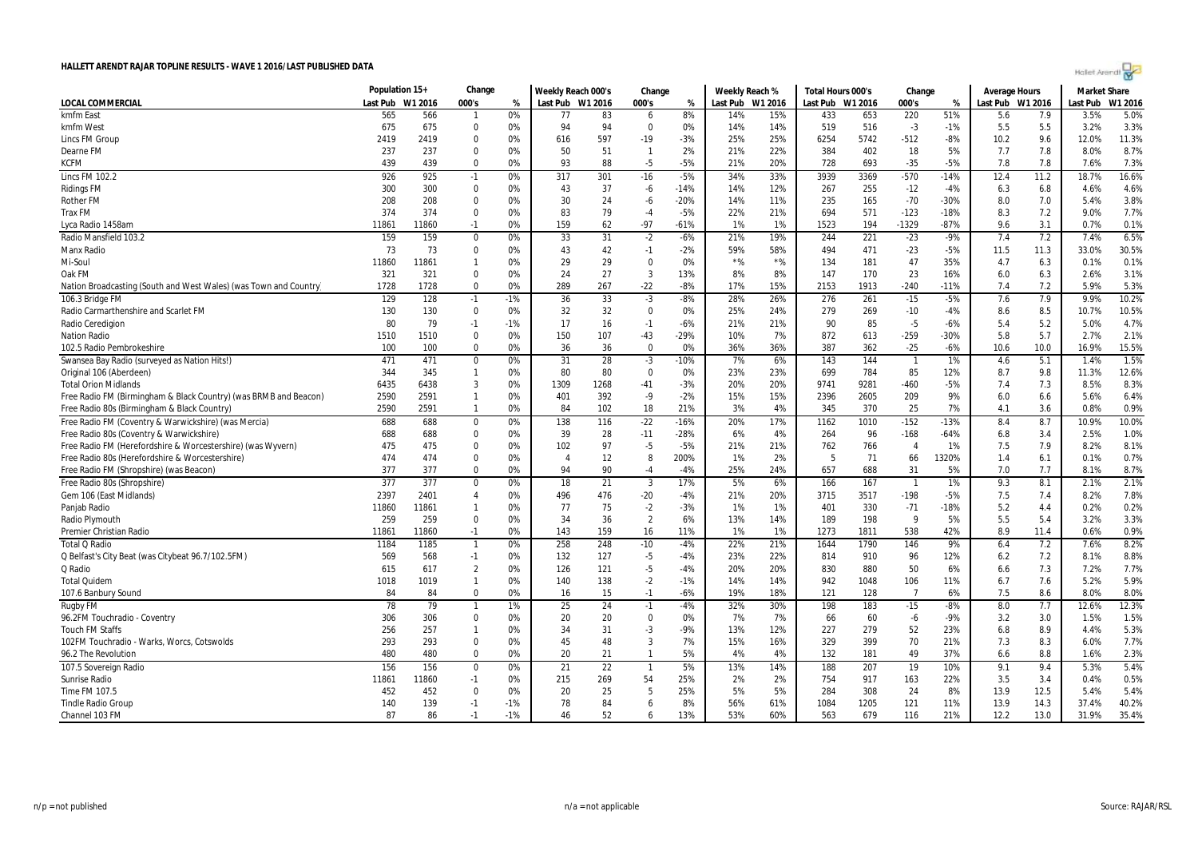| Holet Arendi |  |
|--------------|--|

|                                                                   | Population 15+ |         | Change                  |       | Weekly Reach 000's     |      | Change         |        | Weekly Reach % |                  | Total Hours 000's |      | Change                   |        | <b>Average Hours</b> |      | <b>Market Share</b> |         |
|-------------------------------------------------------------------|----------------|---------|-------------------------|-------|------------------------|------|----------------|--------|----------------|------------------|-------------------|------|--------------------------|--------|----------------------|------|---------------------|---------|
| LOCAL COMMERCIAL                                                  | Last Pub       | W1 2016 | 000's                   | %     | Last Pub W1 2016       |      | 000's          | %      |                | Last Pub W1 2016 | Last Pub W1 2016  |      | 000's                    | %      | Last Pub W1 2016     |      | Last Pub            | W1 2016 |
| kmfm East                                                         | 565            | 566     | 1                       | 0%    | 77                     | 83   | 6              | 8%     | 14%            | 15%              | 433               | 653  | 220                      | 51%    | 5.6                  | 7.9  | 3.5%                | 5.0%    |
| kmfm West                                                         | 675            | 675     | $\Omega$                | 0%    | 94                     | 94   | $\Omega$       | 0%     | 14%            | 14%              | 519               | 516  | $-3$                     | $-1%$  | 5.5                  | 5.5  | 3.2%                | 3.3%    |
| <b>Lincs FM Group</b>                                             | 2419           | 2419    | $\mathbf 0$             | 0%    | 616                    | 597  | $-19$          | $-3%$  | 25%            | 25%              | 6254              | 5742 | $-512$                   | $-8%$  | 10.2                 | 9.6  | 12.0%               | 11.3%   |
| Dearne FM                                                         | 237            | 237     | 0                       | 0%    | 50                     | 51   | $\mathbf{1}$   | 2%     | 21%            | 22%              | 384               | 402  | 18                       | 5%     | 7.7                  | 7.8  | 8.0%                | 8.7%    |
| KCFM                                                              | 439            | 439     | $\Omega$                | 0%    | 93                     | 88   | $-5$           | $-5%$  | 21%            | 20%              | 728               | 693  | $-35$                    | $-5%$  | 7.8                  | 7.8  | 7.6%                | 7.3%    |
| Lincs FM 102.2                                                    | 926            | 925     | $-1$                    | 0%    | 317                    | 301  | $-16$          | $-5%$  | 34%            | 33%              | 3939              | 3369 | $-570$                   | $-14%$ | 12.4                 | 11.2 | 18.7%               | 16.6%   |
| <b>Ridings FM</b>                                                 | 300            | 300     | $\boldsymbol{0}$        | 0%    | 43                     | 37   | -6             | $-14%$ | 14%            | 12%              | 267               | 255  | $-12$                    | $-4%$  | 6.3                  | 6.8  | 4.6%                | 4.6%    |
| <b>Rother FM</b>                                                  | 208            | 208     | $\mathbf 0$             | 0%    | 30                     | 24   | -6             | $-20%$ | 14%            | 11%              | 235               | 165  | $-70$                    | $-30%$ | 8.0                  | 7.0  | 5.4%                | 3.8%    |
| Trax FM                                                           | 374            | 374     | 0                       | 0%    | 83                     | 79   | $-4$           | $-5%$  | 22%            | 21%              | 694               | 571  | $-123$                   | $-18%$ | 8.3                  | 7.2  | 9.0%                | 7.7%    |
| Lyca Radio 1458am                                                 | 11861          | 11860   | $-1$                    | 0%    | 159                    | 62   | $-97$          | $-61%$ | 1%             | 1%               | 1523              | 194  | $-1329$                  | $-87%$ | 9.6                  | 3.1  | 0.7%                | 0.1%    |
| Radio Mansfield 103.2                                             | 159            | 159     | $\boldsymbol{0}$        | 0%    | 33                     | 31   | $-2$           | $-6%$  | 21%            | 19%              | 244               | 221  | $-23$                    | $-9%$  | 7.4                  | 7.2  | 7.4%                | 6.5%    |
| Manx Radio                                                        | 73             | 73      | $\mathbf 0$             | 0%    | 43                     | 42   | $-1$           | $-2%$  | 59%            | 58%              | 494               | 471  | $-23$                    | $-5%$  | 11.5                 | 11.3 | 33.0%               | 30.5%   |
| Mi-Soul                                                           | 11860          | 11861   | $\mathbf{1}$            | 0%    | 29                     | 29   | $\mathbf{0}$   | 0%     | $*$ %          | $*$ %            | 134               | 181  | 47                       | 35%    | 4.7                  | 6.3  | 0.1%                | 0.1%    |
| Oak FM                                                            | 321            | 321     | 0                       | 0%    | 24                     | 27   | $\mathbf{3}$   | 13%    | 8%             | 8%               | 147               | 170  | 23                       | 16%    | 6.0                  | 6.3  | 2.6%                | 3.1%    |
| Nation Broadcasting (South and West Wales) (was Town and Country) | 1728           | 1728    | $\Omega$                | 0%    | 289                    | 267  | $-22$          | $-8%$  | 17%            | 15%              | 2153              | 1913 | $-240$                   | $-11%$ | 7.4                  | 7.2  | 5.9%                | 5.3%    |
| 106.3 Bridge FM                                                   | 129            | 128     | $-1$                    | $-1%$ | 36                     | 33   | $-3$           | $-8%$  | 28%            | 26%              | 276               | 261  | $-15$                    | $-5%$  | 7.6                  | 7.9  | 9.9%                | 10.2%   |
| Radio Carmarthenshire and Scarlet FM                              | 130            | 130     | $\mathbf 0$             | 0%    | 32                     | 32   | $\Omega$       | 0%     | 25%            | 24%              | 279               | 269  | $-10$                    | $-4%$  | 8.6                  | 8.5  | 10.7%               | 10.5%   |
| Radio Ceredigion                                                  | 80             | 79      | $-1$                    | $-1%$ | 17                     | 16   | $-1$           | $-6%$  | 21%            | 21%              | 90                | 85   | $-5$                     | $-6%$  | 5.4                  | 5.2  | 5.0%                | 4.7%    |
| <b>Nation Radio</b>                                               | 1510           | 1510    | $\mathbf 0$             | 0%    | 150                    | 107  | $-43$          | $-29%$ | 10%            | 7%               | 872               | 613  | $-259$                   | $-30%$ | 5.8                  | 5.7  | 2.7%                | 2.1%    |
| 102.5 Radio Pembrokeshire                                         | 100            | 100     | $\Omega$                | 0%    | 36                     | 36   | $\mathbf 0$    | 0%     | 36%            | 36%              | 387               | 362  | $-25$                    | $-6%$  | 10.6                 | 10.0 | 16.9%               | 15.5%   |
| Swansea Bay Radio (surveyed as Nation Hits!)                      | 471            | 471     | $\boldsymbol{0}$        | 0%    | 31                     | 28   | $-3$           | $-10%$ | 7%             | 6%               | 143               | 144  | $\overline{\phantom{a}}$ | 1%     | 4.6                  | 5.1  | 1.4%                | 1.5%    |
| Original 106 (Aberdeen)                                           | 344            | 345     | $\mathbf{1}$            | 0%    | 80                     | 80   | $\mathbf 0$    | 0%     | 23%            | 23%              | 699               | 784  | 85                       | 12%    | 8.7                  | 9.8  | 11.3%               | 12.6%   |
| <b>Total Orion Midlands</b>                                       | 6435           | 6438    | 3                       | 0%    | 1309                   | 1268 | $-41$          | $-3%$  | 20%            | 20%              | 9741              | 9281 | $-460$                   | $-5%$  | 7.4                  | 7.3  | 8.5%                | 8.3%    |
| Free Radio FM (Birmingham & Black Country) (was BRMB and Beacon)  | 2590           | 2591    | $\mathbf{1}$            | 0%    | 401                    | 392  | $-9$           | $-2%$  | 15%            | 15%              | 2396              | 2605 | 209                      | 9%     | 6.0                  | 6.6  | 5.6%                | 6.4%    |
| Free Radio 80s (Birmingham & Black Country)                       | 2590           | 2591    | $\mathbf{1}$            | 0%    | 84                     | 102  | 18             | 21%    | 3%             | 4%               | 345               | 370  | 25                       | 7%     | 4.1                  | 3.6  | 0.8%                | 0.9%    |
| Free Radio FM (Coventry & Warwickshire) (was Mercia)              | 688            | 688     | 0                       | 0%    | 138                    | 116  | $-22$          | $-16%$ | 20%            | 17%              | 1162              | 1010 | $-152$                   | $-13%$ | 8.4                  | 8.7  | 10.9%               | 10.0%   |
| Free Radio 80s (Coventry & Warwickshire)                          | 688            | 688     | 0                       | 0%    | 39                     | 28   | $-11$          | $-28%$ | 6%             | 4%               | 264               | 96   | $-168$                   | $-64%$ | 6.8                  | 3.4  | 2.5%                | 1.0%    |
| Free Radio FM (Herefordshire & Worcestershire) (was Wyvern)       | 475            | 475     | $\Omega$                | 0%    | 102                    | 97   | $-5$           | $-5%$  | 21%            | 21%              | 762               | 766  | $\overline{4}$           | 1%     | 7.5                  | 7.9  | 8.2%                | 8.1%    |
| Free Radio 80s (Herefordshire & Worcestershire)                   | 474            | 474     | $\Omega$                | 0%    | $\boldsymbol{\Lambda}$ | 12   | 8              | 200%   | 1%             | 2%               | 5                 | 71   | 66                       | 1320%  | 1.4                  | 6.1  | 0.1%                | 0.7%    |
| Free Radio FM (Shropshire) (was Beacon)                           | 377            | 377     | $\Omega$                | 0%    | 94                     | 90   | $-4$           | $-4%$  | 25%            | 24%              | 657               | 688  | 31                       | 5%     | 7.0                  | 7.7  | 8.1%                | 8.7%    |
| Free Radio 80s (Shropshire)                                       | 377            | 377     | $\mathbf 0$             | 0%    | 18                     | 21   | $\mathbf{3}$   | 17%    | 5%             | 6%               | 166               | 167  |                          | 1%     | 9.3                  | 8.1  | 2.1%                | 2.1%    |
| Gem 106 (East Midlands)                                           | 2397           | 2401    | 4                       | 0%    | 496                    | 476  | $-20$          | $-4%$  | 21%            | 20%              | 3715              | 3517 | $-198$                   | $-5%$  | 7.5                  | 7.4  | 8.2%                | 7.8%    |
| Panjab Radio                                                      | 11860          | 11861   | $\mathbf{1}$            | 0%    | 77                     | 75   | $-2$           | $-3%$  | 1%             | 1%               | 401               | 330  | $-71$                    | $-18%$ | 5.2                  | 4.4  | 0.2%                | 0.2%    |
| Radio Plymouth                                                    | 259            | 259     | $\mathbf 0$             | 0%    | 34                     | 36   | $\overline{2}$ | 6%     | 13%            | 14%              | 189               | 198  | $\mathbf{q}$             | 5%     | 5.5                  | 5.4  | 3.2%                | 3.3%    |
| Premier Christian Radio                                           | 11861          | 11860   | $-1$                    | 0%    | 143                    | 159  | 16             | 11%    | 1%             | 1%               | 1273              | 1811 | 538                      | 42%    | 8.9                  | 11.4 | 0.6%                | 0.9%    |
| <b>Total Q Radio</b>                                              | 1184           | 1185    | $\mathbf{1}$            | 0%    | 258                    | 248  | $-10$          | $-4%$  | 22%            | 21%              | 1644              | 1790 | 146                      | 9%     | 6.4                  | 7.2  | 7.6%                | 8.2%    |
| Q Belfast's City Beat (was Citybeat 96.7/102.5FM)                 | 569            | 568     | $-1$                    | 0%    | 132                    | 127  | -5             | -4%    | 23%            | 22%              | 814               | 910  | 96                       | 12%    | 6.2                  | 7.2  | 8.1%                | 8.8%    |
| Q Radio                                                           | 615            | 617     | $\overline{2}$          | 0%    | 126                    | 121  | $-5$           | -4%    | 20%            | 20%              | 830               | 880  | 50                       | 6%     | 6.6                  | 7.3  | 7.2%                | 7.7%    |
| <b>Total Quidem</b>                                               | 1018           | 1019    | $\mathbf{1}$            | 0%    | 140                    | 138  | $-2$           | $-1%$  | 14%            | 14%              | 942               | 1048 | 106                      | 11%    | 6.7                  | 7.6  | 5.2%                | 5.9%    |
| 107.6 Banbury Sound                                               | 84             | 84      | $\Omega$                | 0%    | 16                     | 15   | $-1$           | $-6%$  | 19%            | 18%              | 121               | 128  | $\overline{7}$           | 6%     | 7.5                  | 8.6  | 8.0%                | 8.0%    |
|                                                                   | 78             | 79      | $\mathbf{1}$            | 1%    | 25                     | 24   | $-1$           | $-4%$  | 32%            | 30%              | 198               | 183  | $-15$                    | $-8%$  | 8.0                  | 7.7  | 12.6%               | 12.3%   |
| Rugby FM                                                          | 306            |         | $\mathbf 0$             | 0%    | 20                     | 20   | $\mathbf{0}$   | 0%     | 7%             | 7%               |                   |      |                          | $-9%$  |                      | 3.0  | 1.5%                | 1.5%    |
| 96.2FM Touchradio - Coventry                                      |                | 306     |                         |       |                        |      |                |        |                |                  | 66                | 60   | -6                       |        | 3.2                  |      |                     |         |
| <b>Touch FM Staffs</b>                                            | 256            | 257     | $\mathbf{1}$            | 0%    | 34                     | 31   | $-3$           | -9%    | 13%            | 12%              | 227               | 279  | 52                       | 23%    | 6.8                  | 8.9  | 4.4%                | 5.3%    |
| 102FM Touchradio - Warks, Worcs, Cotswolds                        | 293            | 293     | $\mathbf 0$<br>$\Omega$ | 0%    | 45                     | 48   | 3              | 7%     | 15%            | 16%              | 329               | 399  | 70                       | 21%    | 7.3                  | 8.3  | 6.0%                | 7.7%    |
| 96.2 The Revolution                                               | 480            | 480     |                         | 0%    | 20                     | 21   | $\mathbf{1}$   | 5%     | 4%             | 4%               | 132               | 181  | 49                       | 37%    | 6.6                  | 8.8  | 1.6%                | 2.3%    |
| 107.5 Sovereign Radio                                             | 156            | 156     | $\mathbf 0$             | 0%    | 21                     | 22   | -1             | 5%     | 13%            | 14%              | 188               | 207  | 19                       | 10%    | 9.1                  | 9.4  | 5.3%                | 5.4%    |
| Sunrise Radio                                                     | 11861          | 11860   | $-1$                    | 0%    | 215                    | 269  | 54             | 25%    | 2%             | 2%               | 754               | 917  | 163                      | 22%    | 3.5                  | 3.4  | 0.4%                | 0.5%    |
| Time FM 107.5                                                     | 452            | 452     | $\mathbf 0$             | 0%    | 20                     | 25   | 5              | 25%    | 5%             | 5%               | 284               | 308  | 24                       | 8%     | 13.9                 | 12.5 | 5.4%                | 5.4%    |
| <b>Tindle Radio Group</b>                                         | 140            | 139     | $-1$                    | $-1%$ | 78                     | 84   | 6              | 8%     | 56%            | 61%              | 1084              | 1205 | 121                      | 11%    | 13.9                 | 14.3 | 37.4%               | 40.2%   |
| Channel 103 FM                                                    | 87             | 86      | $-1$                    | $-1%$ | 46                     | 52   | 6              | 13%    | 53%            | 60%              | 563               | 679  | 116                      | 21%    | 12.2                 | 13.0 | 31.9%               | 35.4%   |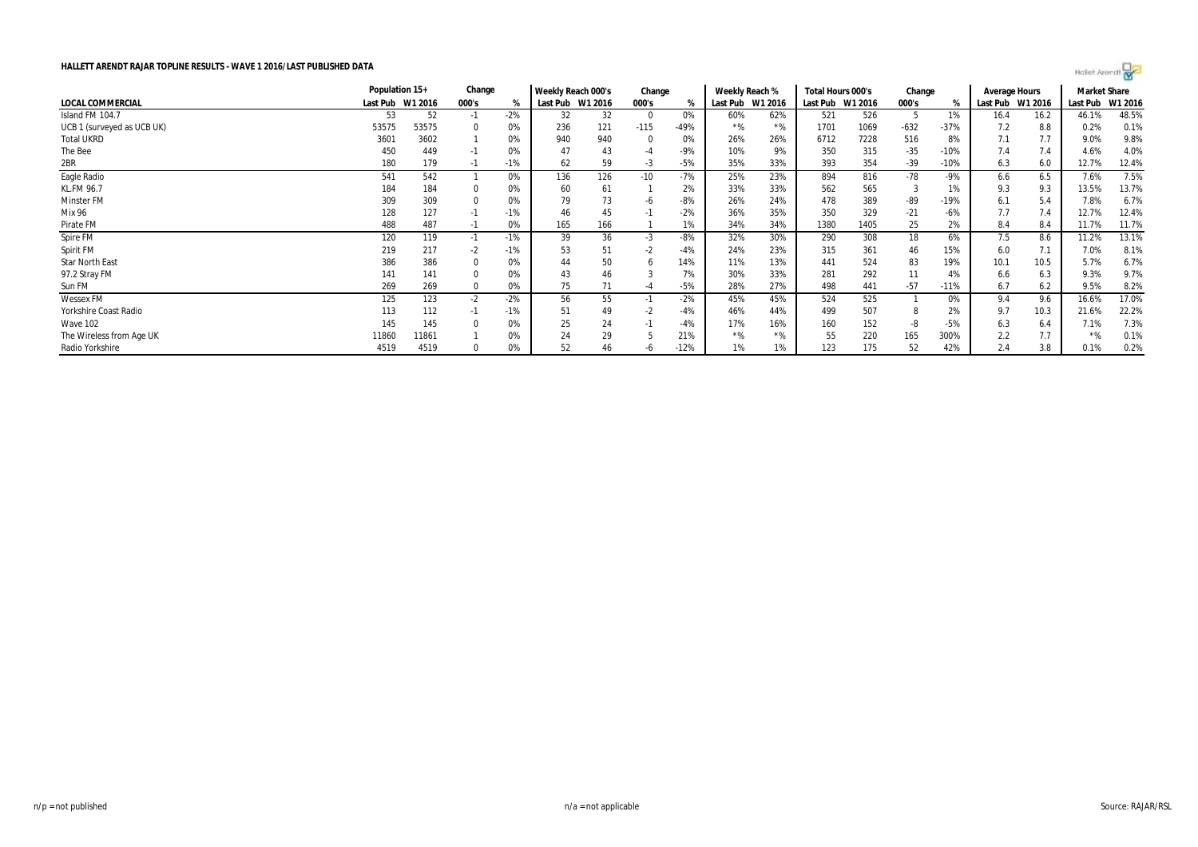|                            | Population 15+   |       | Change |       | Weekly Reach 000's |     | Change |        | Weekly Reach %   |       | Total Hours 000's |         | Change |               | Average Hours |         | <b>Market Share</b> |         |
|----------------------------|------------------|-------|--------|-------|--------------------|-----|--------|--------|------------------|-------|-------------------|---------|--------|---------------|---------------|---------|---------------------|---------|
| LOCAL COMMERCIAL           | Last Pub W1 2016 |       | 000's  | %     | Last Pub W1 2016   |     | 000's  | %      | Last Pub W1 2016 |       | Last Pub          | W1 2016 | 000's  | $\frac{1}{2}$ | Last Pub      | W1 2016 | Last Pub            | W1 2016 |
| Island FM 104.7            | 53               | 52    | -1     | $-2%$ | 32                 | 32  | - 0    | 0%     | 60%              | 62%   | 521               | 526     |        | 1%            | 16.4          | 16.2    | 46.1%               | 48.5%   |
| UCB 1 (surveyed as UCB UK) | 53575            | 53575 |        | 0%    | 236                | 121 | $-115$ | $-49%$ | $*$ %            | $*$ % | 1701              | 1069    | $-632$ | $-37%$        | 7.2           | 8.8     | 0.2%                | 0.1%    |
| <b>Total UKRD</b>          | 3601             | 3602  |        | 0%    | 940                | 940 |        | 0%     | 26%              | 26%   | 6712              | 7228    | 516    | 8%            | 7.1           | 7.7     | 9.0%                | 9.8%    |
| The Bee                    | 450              | 449   | $-1$   | 0%    | 47                 | 43  | -4     | -9%    | 10%              | 9%    | 350               | 315     | $-35$  | $-10%$        | 7.4           | 7.4     | 4.6%                | 4.0%    |
| 2BR                        | 180              | 179   |        | -1%   | 62                 | 59  | -3     | $-5%$  | 35%              | 33%   | 393               | 354     | $-39$  | $-10%$        | 6.3           | 6.0     | 12.7%               | 12.4%   |
| Eagle Radio                | 541              | 542   |        | 0%    | 136                | 126 | $-10$  | $-7%$  | 25%              | 23%   | 894               | 816     | $-78$  | $-9%$         | 6.6           | 6.5     | 7.6%                | 7.5%    |
| <b>KL.FM 96.7</b>          | 184              | 184   |        | 0%    | 60                 | 61  |        | 2%     | 33%              | 33%   | 562               | 565     |        | 1%            | 9.3           | 9.3     | 13.5%               | 13.7%   |
| Minster FM                 | 309              | 309   |        | 0%    | 79                 | 73  | -6     | -8%    | 26%              | 24%   | 478               | 389     | -89    | $-19%$        | 6.1           | 5.4     | 7.8%                | 6.7%    |
| Mix 96                     | 128              | 127   | $-1$   | $-1%$ | 46                 | 45  |        | $-2%$  | 36%              | 35%   | 350               | 329     | $-21$  | $-6%$         | 7.7           | 7.4     | 12.7%               | 12.4%   |
| Pirate FM                  | 488              | 487   | $-1$   | 0%    | 165                | 166 |        | 1%     | 34%              | 34%   | 1380              | 1405    | 25     | 2%            | 8.4           | 8.4     | 11.7%               | 11.7%   |
| Spire FM                   | 120              | 119   | $-1$   | $-1%$ | 39                 | 36  | $-3$   | $-8%$  | 32%              | 30%   | 290               | 308     | 18     | 6%            | 7.5           | 8.6     | 11.2%               | 13.1%   |
| Spirit FM                  | 219              | 217   | -2     | -1%   | 53                 |     |        | -4%    | 24%              | 23%   | 315               | 361     | 46     | 15%           | 6.0           |         | 7.0%                | 8.1%    |
| <b>Star North East</b>     | 386              | 386   |        | 0%    | 44                 | 50  |        | 14%    | 11%              | 13%   | 441               | 524     | 83     | 19%           | 10.1          | 10.5    | 5.7%                | 6.7%    |
| 97.2 Stray FM              | 141              | 141   |        | 0%    | 43                 | 46  |        | 7%     | 30%              | 33%   | 281               | 292     | 11     | 4%            | 6.6           | 6.3     | 9.3%                | 9.7%    |
| Sun FM                     | 269              | 269   |        | 0%    | 75                 |     |        | $-5%$  | 28%              | 27%   | 498               | 441     | $-57$  | $-11%$        | 6.7           | 6.2     | 9.5%                | 8.2%    |
| <b>Wessex FM</b>           | 125              | 123   | $-2$   | $-2%$ | 56                 | 55  |        | $-2%$  | 45%              | 45%   | 524               | 525     |        | 0%            | 9.4           | 9.6     | 16.6%               | 17.0%   |
| Yorkshire Coast Radio      | 113              | 112   | $-1$   | $-1%$ | 51                 | 49  | -2     | -4%    | 46%              | 44%   | 499               | 507     |        | 2%            | 9.7           | 10.3    | 21.6%               | 22.2%   |
| Wave 102                   | 145              | 145   |        | 0%    | 25                 | 24  |        | -4%    | 17%              | 16%   | 160               | 152     |        | $-5%$         | 6.3           | 6.4     | 7.1%                | 7.3%    |
| The Wireless from Age UK   | 11860            | 11861 |        |       | 24                 | 29  |        | 21%    | $*$ %            | $*$ % | 55                | 220     | 165    | 300%          | 2.2           | 7.7     |                     | 0.1%    |
| Radio Yorkshire            | 4519             | 4519  |        | 0%    | 52                 | 46  |        | $-12%$ | 1%               | 1%    | 123               | 175     | 52     | 42%           | 2.4           | 3.8     | 0.1%                | 0.2%    |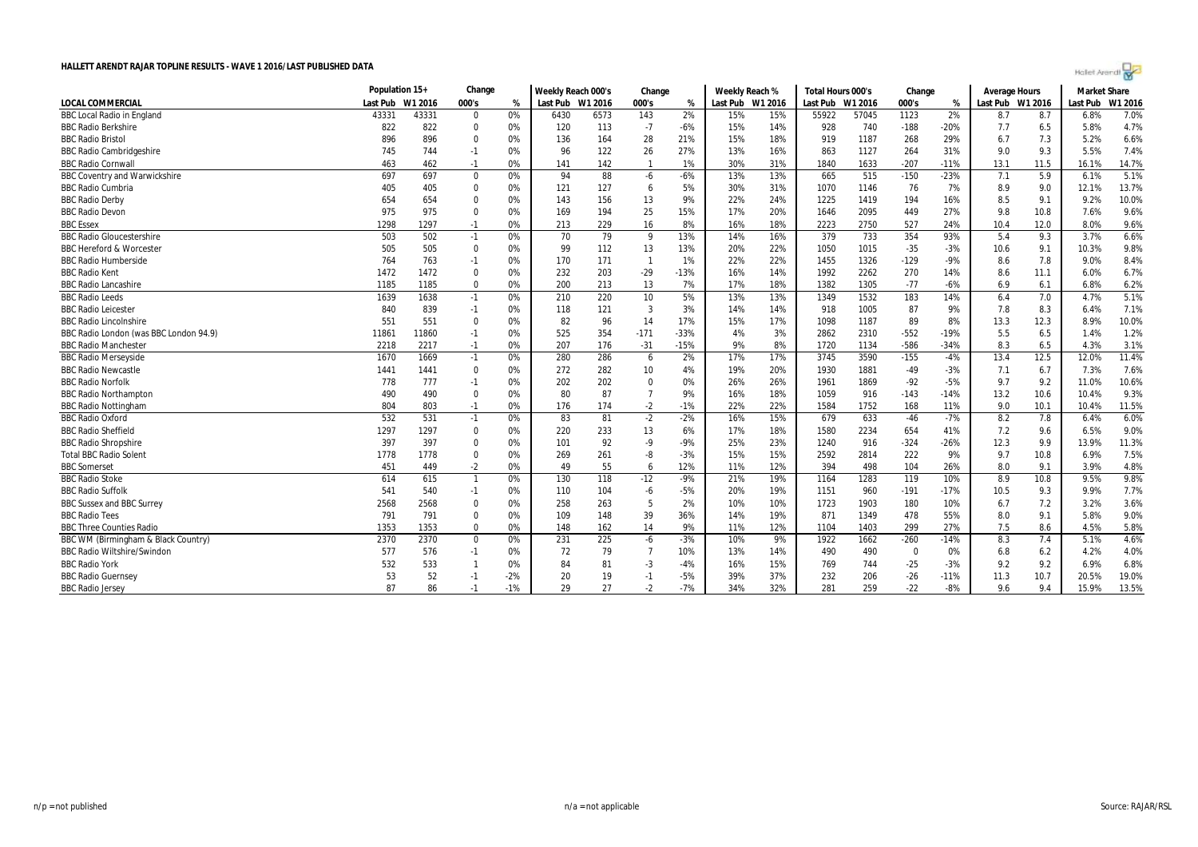|  | Holet Arendi |  |
|--|--------------|--|
|  |              |  |

|                                        |          | Population 15+<br>Change |             |       | Weekly Reach 000's |      | Change                  |        | Weekly Reach %   |     | Total Hours 000's |         | Change      |        | <b>Average Hours</b> |      | <b>Market Share</b> |         |
|----------------------------------------|----------|--------------------------|-------------|-------|--------------------|------|-------------------------|--------|------------------|-----|-------------------|---------|-------------|--------|----------------------|------|---------------------|---------|
| <b>LOCAL COMMERCIAL</b>                | Last Pub | W1 2016                  | 000's       | %     | Last Pub W1 2016   |      | 000's                   | %      | Last Pub W1 2016 |     | Last Pub          | W1 2016 | 000's       | %      | Last Pub W1 2016     |      | Last Pub            | W1 2016 |
| <b>BBC Local Radio in England</b>      | 43331    | 43331                    | $\Omega$    | 0%    | 6430               | 6573 | 143                     | 2%     | 15%              | 15% | 55922             | 57045   | 1123        | 2%     | 8.7                  | 8.7  | 6.8%                | 7.0%    |
| <b>BBC Radio Berkshire</b>             | 822      | 822                      | $\Omega$    | 0%    | 120                | 113  | $-7$                    | $-6%$  | 15%              | 14% | 928               | 740     | $-188$      | $-20%$ | 7.7                  | 6.5  | 5.8%                | 4.7%    |
| <b>BBC Radio Bristol</b>               | 896      | 896                      | $\Omega$    | 0%    | 136                | 164  | 28                      | 21%    | 15%              | 18% | 919               | 1187    | 268         | 29%    | 6.7                  | 7.3  | 5.2%                | 6.6%    |
| <b>BBC Radio Cambridgeshire</b>        | 745      | 744                      | $-1$        | 0%    | 96                 | 122  | 26                      | 27%    | 13%              | 16% | 863               | 1127    | 264         | 31%    | 9.0                  | 9.3  | 5.5%                | 7.4%    |
| <b>BBC Radio Cornwall</b>              | 463      | 462                      | $-1$        | 0%    | 141                | 142  | $\overline{1}$          | 1%     | 30%              | 31% | 1840              | 1633    | $-207$      | $-11%$ | 13.1                 | 11.5 | 16.1%               | 14.7%   |
| <b>BBC Coventry and Warwickshire</b>   | 697      | 697                      | $\Omega$    | 0%    | 94                 | 88   | $-6$                    | $-6%$  | 13%              | 13% | 665               | 515     | $-150$      | $-23%$ | 7.1                  | 5.9  | 6.1%                | 5.1%    |
| <b>BBC Radio Cumbria</b>               | 405      | 405                      | $\Omega$    | 0%    | 121                | 127  | 6                       | 5%     | 30%              | 31% | 1070              | 1146    | 76          | 7%     | 8.9                  | 9.0  | 12.1%               | 13.7%   |
| <b>BBC Radio Derby</b>                 | 654      | 654                      | $\mathbf 0$ | 0%    | 143                | 156  | 13                      | 9%     | 22%              | 24% | 1225              | 1419    | 194         | 16%    | 8.5                  | 9.1  | 9.2%                | 10.0%   |
| <b>BBC Radio Devon</b>                 | 975      | 975                      | $\Omega$    | 0%    | 169                | 194  | 25                      | 15%    | 17%              | 20% | 1646              | 2095    | 449         | 27%    | 9.8                  | 10.8 | 7.6%                | 9.6%    |
| <b>BBC</b> Essex                       | 1298     | 1297                     | $-1$        | 0%    | 213                | 229  | 16                      | 8%     | 16%              | 18% | 2223              | 2750    | 527         | 24%    | 10.4                 | 12.0 | 8.0%                | 9.6%    |
| <b>BBC Radio Gloucestershire</b>       | 503      | 502                      | $-1$        | 0%    | 70                 | 79   | 9                       | 13%    | 14%              | 16% | 379               | 733     | 354         | 93%    | 5.4                  | 9.3  | 3.7%                | 6.6%    |
| <b>BBC Hereford &amp; Worcester</b>    | 505      | 505                      | $\mathbf 0$ | 0%    | 99                 | 112  | 13                      | 13%    | 20%              | 22% | 1050              | 1015    | $-35$       | $-3%$  | 10.6                 | 9.1  | 10.3%               | 9.8%    |
| <b>BBC Radio Humberside</b>            | 764      | 763                      | -1          | 0%    | 170                | 171  | $\overline{\mathbf{1}}$ | 1%     | 22%              | 22% | 1455              | 1326    | $-129$      | $-9%$  | 8.6                  | 7.8  | 9.0%                | 8.4%    |
| <b>BBC Radio Kent</b>                  | 1472     | 1472                     | $\Omega$    | 0%    | 232                | 203  | $-29$                   | $-13%$ | 16%              | 14% | 1992              | 2262    | 270         | 14%    | 8.6                  | 11.1 | 6.0%                | 6.7%    |
| <b>BBC Radio Lancashire</b>            | 1185     | 1185                     | $\Omega$    | 0%    | 200                | 213  | 13                      | 7%     | 17%              | 18% | 1382              | 1305    | $-77$       | $-6%$  | 6.9                  | 6.1  | 6.8%                | 6.2%    |
| <b>BBC Radio Leeds</b>                 | 1639     | 1638                     | $-1$        | 0%    | 210                | 220  | 10                      | 5%     | 13%              | 13% | 1349              | 1532    | 183         | 14%    | 6.4                  | 7.0  | 4.7%                | 5.1%    |
| <b>BBC Radio Leicester</b>             | 840      | 839                      | $-1$        | 0%    | 118                | 121  | 3                       | 3%     | 14%              | 14% | 918               | 1005    | 87          | 9%     | 7.8                  | 8.3  | 6.4%                | 7.1%    |
| <b>BBC Radio Lincolnshire</b>          | 551      | 551                      | $\mathbf 0$ | 0%    | 82                 | 96   | 14                      | 17%    | 15%              | 17% | 1098              | 1187    | 89          | 8%     | 13.3                 | 12.3 | 8.9%                | 10.0%   |
| BBC Radio London (was BBC London 94.9) | 11861    | 11860                    | $-1$        | 0%    | 525                | 354  | $-171$                  | $-33%$ | 4%               | 3%  | 2862              | 2310    | $-552$      | $-19%$ | 5.5                  | 6.5  | 1.4%                | 1.2%    |
| <b>BBC Radio Manchester</b>            | 2218     | 2217                     | $-1$        | 0%    | 207                | 176  | $-31$                   | $-15%$ | 9%               | 8%  | 1720              | 1134    | -586        | $-34%$ | 8.3                  | 6.5  | 4.3%                | 3.1%    |
| <b>BBC Radio Merseyside</b>            | 1670     | 1669                     | $-1$        | 0%    | 280                | 286  | 6                       | 2%     | 17%              | 17% | 3745              | 3590    | $-155$      | $-4%$  | 13.4                 | 12.5 | 12.0%               | 11.4%   |
| <b>BBC Radio Newcastle</b>             | 1441     | 1441                     | $\mathbf 0$ | 0%    | 272                | 282  | 10                      | 4%     | 19%              | 20% | 1930              | 1881    | $-49$       | $-3%$  | 7.1                  | 6.7  | 7.3%                | 7.6%    |
| <b>BBC Radio Norfolk</b>               | 778      | 777                      | -1          | 0%    | 202                | 202  | $\Omega$                | 0%     | 26%              | 26% | 1961              | 1869    | $-92$       | $-5%$  | 9.7                  | 9.2  | 11.0%               | 10.6%   |
| <b>BBC Radio Northampton</b>           | 490      | 490                      | $\mathbf 0$ | 0%    | 80                 | 87   | $\overline{7}$          | 9%     | 16%              | 18% | 1059              | 916     | $-143$      | $-14%$ | 13.2                 | 10.6 | 10.4%               | 9.3%    |
| <b>BBC Radio Nottingham</b>            | 804      | 803                      | $-1$        | 0%    | 176                | 174  | $-2$                    | $-1%$  | 22%              | 22% | 1584              | 1752    | 168         | 11%    | 9.0                  | 10.1 | 10.4%               | 11.5%   |
| <b>BBC Radio Oxford</b>                | 532      | 531                      | $-1$        | 0%    | 83                 | 81   | $-2$                    | $-2%$  | 16%              | 15% | 679               | 633     | $-46$       | $-7%$  | 8.2                  | 7.8  | 6.4%                | 6.0%    |
| <b>BBC Radio Sheffield</b>             | 1297     | 1297                     | $\mathbf 0$ | 0%    | 220                | 233  | 13                      | 6%     | 17%              | 18% | 1580              | 2234    | 654         | 41%    | 7.2                  | 9.6  | 6.5%                | 9.0%    |
| <b>BBC Radio Shropshire</b>            | 397      | 397                      | $\Omega$    | 0%    | 101                | 92   | -9                      | $-9%$  | 25%              | 23% | 1240              | 916     | $-324$      | $-26%$ | 12.3                 | 9.9  | 13.9%               | 11.3%   |
| <b>Total BBC Radio Solent</b>          | 1778     | 1778                     | $\Omega$    | 0%    | 269                | 261  | -8                      | $-3%$  | 15%              | 15% | 2592              | 2814    | 222         | 9%     | 9.7                  | 10.8 | 6.9%                | 7.5%    |
| <b>BBC Somerset</b>                    | 451      | 449                      | $-2$        | 0%    | 49                 | 55   | 6                       | 12%    | 11%              | 12% | 394               | 498     | 104         | 26%    | 8.0                  | 9.1  | 3.9%                | 4.8%    |
| <b>BBC Radio Stoke</b>                 | 614      | 615                      | -1          | 0%    | 130                | 118  | $-12$                   | $-9%$  | 21%              | 19% | 1164              | 1283    | 119         | 10%    | 8.9                  | 10.8 | 9.5%                | 9.8%    |
| <b>BBC Radio Suffolk</b>               | 541      | 540                      | $-1$        | 0%    | 110                | 104  | -6                      | $-5%$  | 20%              | 19% | 1151              | 960     | $-191$      | $-17%$ | 10.5                 | 9.3  | 9.9%                | 7.7%    |
| <b>BBC Sussex and BBC Surrey</b>       | 2568     | 2568                     | $\Omega$    | 0%    | 258                | 263  | 5                       | 2%     | 10%              | 10% | 1723              | 1903    | 180         | 10%    | 6.7                  | 7.2  | 3.2%                | 3.6%    |
| <b>BBC Radio Tees</b>                  | 791      | 791                      | $\mathbf 0$ | 0%    | 109                | 148  | 39                      | 36%    | 14%              | 19% | 871               | 1349    | 478         | 55%    | 8.0                  | 9.1  | 5.8%                | 9.0%    |
| <b>BBC Three Counties Radio</b>        | 1353     | 1353                     | $\mathbf 0$ | 0%    | 148                | 162  | 14                      | 9%     | 11%              | 12% | 1104              | 1403    | 299         | 27%    | 7.5                  | 8.6  | 4.5%                | 5.8%    |
| BBC WM (Birmingham & Black Country)    | 2370     | 2370                     | $\mathbf 0$ | 0%    | 231                | 225  | $-6$                    | $-3%$  | 10%              | 9%  | 1922              | 1662    | $-260$      | $-14%$ | 8.3                  | 7.4  | 5.1%                | 4.6%    |
| <b>BBC Radio Wiltshire/Swindon</b>     | 577      | 576                      | $-1$        | 0%    | 72                 | 79   | $\overline{7}$          | 10%    | 13%              | 14% | 490               | 490     | $\mathbf 0$ | 0%     | 6.8                  | 6.2  | 4.2%                | 4.0%    |
| <b>BBC Radio York</b>                  | 532      | 533                      |             | 0%    | 84                 | 81   | $-3$                    | $-4%$  | 16%              | 15% | 769               | 744     | $-25$       | $-3%$  | 9.2                  | 9.2  | 6.9%                | 6.8%    |
| <b>BBC Radio Guernsey</b>              | 53       | 52                       | $-1$        | $-2%$ | 20                 | 19   | $-1$                    | $-5%$  | 39%              | 37% | 232               | 206     | $-26$       | $-11%$ | 11.3                 | 10.7 | 20.5%               | 19.0%   |
| <b>BBC Radio Jersey</b>                | 87       | 86                       | $-1$        | $-1%$ | 29                 | 27   | $-2$                    | $-7%$  | 34%              | 32% | 281               | 259     | $-22$       | $-8%$  | 9.6                  | 9.4  | 15.9%               | 13.5%   |